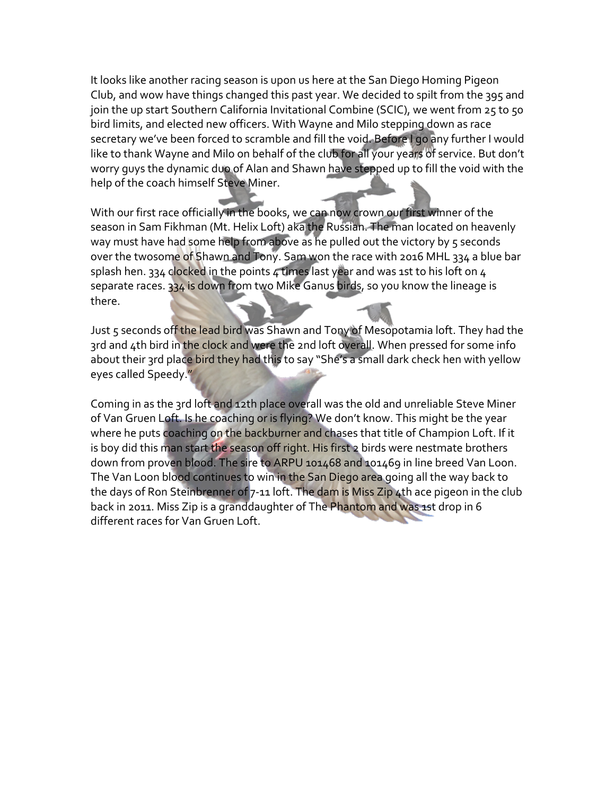It looks like another racing season is upon us here at the San Diego Homing Pigeon Club, and wow have things changed this past year. We decided to spilt from the 395 and join the up start Southern California Invitational Combine (SCIC), we went from 25 to 50 bird limits, and elected new officers. With Wayne and Milo stepping down as race secretary we've been forced to scramble and fill the void. Before I go any further I would like to thank Wayne and Milo on behalf of the club for all your years of service. But don't worry guys the dynamic dup of Alan and Shawn have stepped up to fill the void with the help of the coach himself Steve Miner.

With our first race officially in the books, we can now crown our first winner of the season in Sam Fikhman (Mt. Helix Loft) aka the Russian. The man located on heavenly way must have had some help from above as he pulled out the victory by 5 seconds over the twosome of Shawn and Tony. Sam won the race with 2016 MHL 334 a blue bar splash hen. 334 clocked in the points  $4$  times last year and was 1st to his loft on  $4$ separate races. 334 is down from two Mike Ganus birds, so you know the lineage is there. 

Just 5 seconds off the lead bird was Shawn and Tony of Mesopotamia loft. They had the 3rd and 4th bird in the clock and were the 2nd loft overall. When pressed for some info about their 3rd place bird they had this to say "She's a small dark check hen with yellow eyes called Speedy."

Coming in as the 3rd loft and 12th place overall was the old and unreliable Steve Miner of Van Gruen Loft. Is he coaching or is flying? We don't know. This might be the year where he puts coaching on the backburner and chases that title of Champion Loft. If it is boy did this man start the season off right. His first 2 birds were nestmate brothers down from proven blood. The sire to ARPU 101468 and 101469 in line breed Van Loon. The Van Loon blood continues to win in the San Diego area going all the way back to the days of Ron Steinbrenner of  $7-11$  loft. The dam is Miss Zip 4th ace pigeon in the club back in 2011. Miss Zip is a granddaughter of The Phantom and was 1st drop in 6 different races for Van Gruen Loft.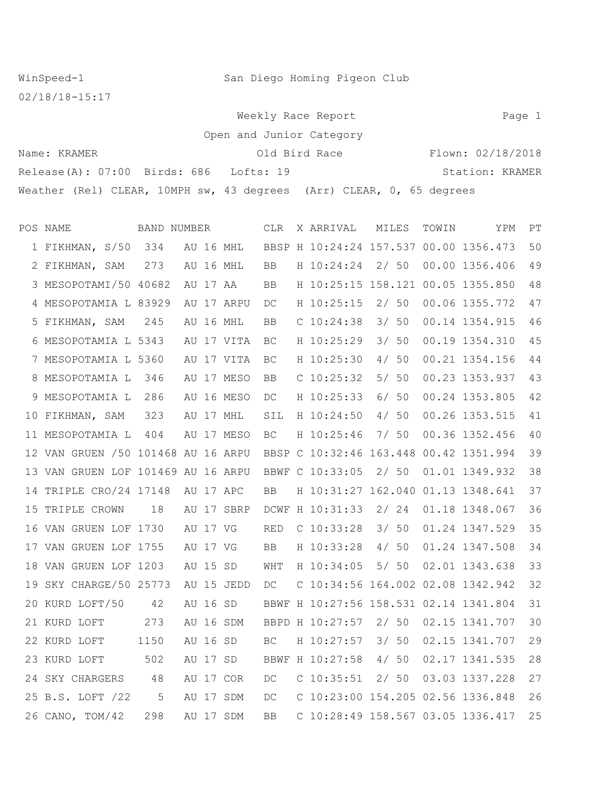WinSpeed-1 San Diego Homing Pigeon Club

02/18/18-15:17

Weekly Race Report **Page 1** Open and Junior Cate

| open and Junior Category                                             |                   |                 |  |  |  |  |  |  |  |  |  |  |  |  |
|----------------------------------------------------------------------|-------------------|-----------------|--|--|--|--|--|--|--|--|--|--|--|--|
| Name: KRAMER                                                         | Flown: 02/18/2018 |                 |  |  |  |  |  |  |  |  |  |  |  |  |
| Release(A): 07:00 Birds: 686 Lofts: 19                               |                   | Station: KRAMER |  |  |  |  |  |  |  |  |  |  |  |  |
| Weather (Rel) CLEAR, 10MPH sw, 43 degrees (Arr) CLEAR, 0, 65 degrees |                   |                 |  |  |  |  |  |  |  |  |  |  |  |  |

|    | POS NAME                            | BAND NUMBER |            |        | <b>CLR</b> | X ARRIVAL                              | MILES | TOWIN | YPM            | PT |
|----|-------------------------------------|-------------|------------|--------|------------|----------------------------------------|-------|-------|----------------|----|
|    | 1 FIKHMAN, S/50                     | 334         | AU 16 MHL  |        |            | BBSP H 10:24:24 157.537 00.00 1356.473 |       |       |                | 50 |
|    | 2 FIKHMAN, SAM                      | 273         | AU 16 MHL  |        | BB         | H 10:24:24                             | 2/50  |       | 00.00 1356.406 | 49 |
|    | 3 MESOPOTAMI/50 40682               |             | AU 17 AA   |        | BB         | H 10:25:15 158.121 00.05 1355.850      |       |       |                | 48 |
|    | 4 MESOPOTAMIA L 83929               |             | AU 17 ARPU |        | DC         | H 10:25:15                             | 2/50  |       | 00.06 1355.772 | 47 |
|    | 5 FIKHMAN, SAM                      | 245         | AU 16 MHL  |        | <b>BB</b>  | $C$ 10:24:38                           | 3/50  |       | 00.14 1354.915 | 46 |
|    | 6 MESOPOTAMIA L 5343                |             | AU 17 VITA |        | BC.        | H 10:25:29                             | 3/50  |       | 00.19 1354.310 | 45 |
|    | 7 MESOPOTAMIA L 5360                |             | AU 17 VITA |        | ВC         | H 10:25:30                             | 4/50  |       | 00.21 1354.156 | 44 |
|    | 8 MESOPOTAMIA L                     | 346         | AU 17 MESO |        | <b>BB</b>  | $C$ 10:25:32                           | 5/50  |       | 00.23 1353.937 | 43 |
|    | 9 MESOPOTAMIA L                     | 286         | AU 16 MESO |        | DC         | H 10:25:33                             | 6/50  |       | 00.24 1353.805 | 42 |
| 10 | FIKHMAN, SAM                        | 323         | AU 17 MHL  |        | SIL        | H 10:24:50                             | 4/50  |       | 00.26 1353.515 | 41 |
|    | 11 MESOPOTAMIA L                    | 404         | AU 17 MESO |        | <b>BC</b>  | H 10:25:46                             | 7/50  |       | 00.36 1352.456 | 40 |
|    | 12 VAN GRUEN / 50 101468 AU 16 ARPU |             |            |        |            | BBSP C 10:32:46 163.448 00.42 1351.994 |       |       |                | 39 |
|    | 13 VAN GRUEN LOF 101469 AU 16 ARPU  |             |            |        |            | BBWF C 10:33:05                        | 2/50  |       | 01.01 1349.932 | 38 |
| 14 | TRIPLE CRO/24 17148                 |             | AU 17 APC  |        | BB         | H 10:31:27 162.040                     |       |       | 01.13 1348.641 | 37 |
| 15 | TRIPLE CROWN                        | 18          | AU 17 SBRP |        |            | DCWF H 10:31:33                        | 2/24  |       | 01.18 1348.067 | 36 |
|    | 16 VAN GRUEN LOF 1730               |             | AU 17 VG   |        | RED        | $C$ 10:33:28                           | 3/50  |       | 01.24 1347.529 | 35 |
|    | 17 VAN GRUEN LOF 1755               |             | AU 17 VG   |        | BB         | H 10:33:28                             | 4/50  |       | 01.24 1347.508 | 34 |
|    | 18 VAN GRUEN LOF 1203               |             | AU 15 SD   |        | WHT        | H 10:34:05                             | 5/50  |       | 02.01 1343.638 | 33 |
| 19 | SKY CHARGE/50 25773                 |             | AU 15 JEDD |        | DC         | C 10:34:56 164.002 02.08 1342.942      |       |       |                | 32 |
|    | 20 KURD LOFT/50                     | 42          | AU 16 SD   |        |            | BBWF H 10:27:56 158.531 02.14 1341.804 |       |       |                | 31 |
|    | 21 KURD LOFT                        | 273         | AU         | 16 SDM |            | BBPD H 10:27:57                        | 2/50  |       | 02.15 1341.707 | 30 |
|    | 22 KURD LOFT                        | 1150        | AU 16 SD   |        | BC.        | H 10:27:57                             | 3/50  |       | 02.15 1341.707 | 29 |
|    | 23 KURD LOFT                        | 502         | AU 17 SD   |        |            | BBWF H 10:27:58                        | 4/50  |       | 02.17 1341.535 | 28 |
| 24 | SKY CHARGERS                        | 48          | AU 17 COR  |        | DC.        | $C$ 10:35:51                           | 2/50  |       | 03.03 1337.228 | 27 |
|    | 25 B.S. LOFT /22                    | 5           | AU 17 SDM  |        | DC         | C 10:23:00 154.205 02.56 1336.848      |       |       |                | 26 |
|    | 26 CANO, TOM/42                     | 298         | AU 17 SDM  |        | <b>BB</b>  | C 10:28:49 158.567 03.05 1336.417      |       |       |                | 25 |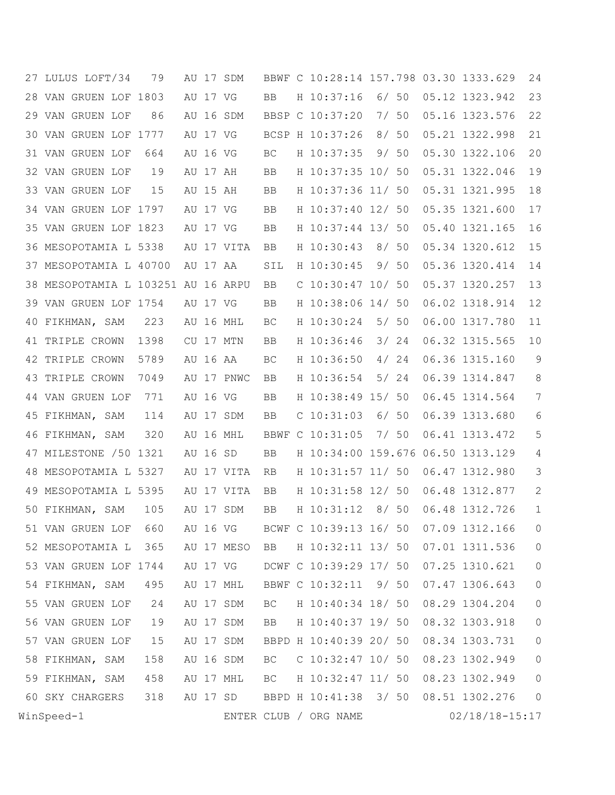|    | 27 LULUS LOFT/34                   | 79   |          |          | AU 17 SDM  |           | BBWF C 10:28:14 157.798 03.30 1333.629 |       |      |                    | 24             |
|----|------------------------------------|------|----------|----------|------------|-----------|----------------------------------------|-------|------|--------------------|----------------|
| 28 | VAN GRUEN LOF 1803                 |      |          | AU 17 VG |            | <b>BB</b> | H 10:37:16                             |       | 6/50 | 05.12 1323.942     | 23             |
|    | 29 VAN GRUEN LOF                   | 86   |          |          | AU 16 SDM  |           | BBSP C 10:37:20                        |       | 7/50 | 05.16 1323.576     | 22             |
|    | 30 VAN GRUEN LOF 1777              |      |          | AU 17 VG |            |           | BCSP H 10:37:26                        |       | 8/50 | 05.21 1322.998     | 21             |
|    | 31 VAN GRUEN LOF                   | 664  |          | AU 16 VG |            | BC        | H 10:37:35                             |       | 9/50 | 05.30 1322.106     | 20             |
|    | 32 VAN GRUEN LOF                   | 19   |          | AU 17 AH |            | <b>BB</b> | H 10:37:35 10/ 50                      |       |      | 05.31 1322.046     | 19             |
|    | 33 VAN GRUEN LOF                   | 15   |          | AU 15 AH |            | BB        | H 10:37:36 11/ 50                      |       |      | 05.31 1321.995     | 18             |
|    | 34 VAN GRUEN LOF 1797              |      | AU 17 VG |          |            | BB        | H 10:37:40 12/ 50                      |       |      | 05.35 1321.600     | 17             |
| 35 | VAN GRUEN LOF 1823                 |      |          | AU 17 VG |            | BB        | H 10:37:44 13/ 50                      |       |      | 05.40 1321.165     | 16             |
|    | 36 MESOPOTAMIA L 5338              |      |          |          | AU 17 VITA | <b>BB</b> | H 10:30:43                             |       | 8/50 | 05.34 1320.612     | 15             |
| 37 | MESOPOTAMIA L 40700                |      |          | AU 17 AA |            | SIL       | H 10:30:45                             |       | 9/50 | 05.36 1320.414     | 14             |
|    | 38 MESOPOTAMIA L 103251 AU 16 ARPU |      |          |          |            | BB        | $C$ 10:30:47 10/ 50                    |       |      | 05.37 1320.257     | 13             |
|    | 39 VAN GRUEN LOF 1754              |      |          | AU 17 VG |            | BB        | H 10:38:06 14/ 50                      |       |      | 06.02 1318.914     | 12             |
| 40 | FIKHMAN, SAM                       | 223  |          |          | AU 16 MHL  | BC        | H 10:30:24                             |       | 5/50 | 06.00 1317.780     | 11             |
|    | 41 TRIPLE CROWN                    | 1398 |          |          | CU 17 MTN  | BB        | H 10:36:46                             |       | 3/24 | 06.32 1315.565     | 10             |
|    | 42 TRIPLE CROWN                    | 5789 |          | AU 16 AA |            | BC        | H 10:36:50                             |       | 4/24 | 06.36 1315.160     | $\mathsf 9$    |
| 43 | TRIPLE CROWN                       | 7049 |          |          | AU 17 PNWC | BB        | H 10:36:54                             |       | 5/24 | 06.39 1314.847     | 8              |
|    | 44 VAN GRUEN LOF                   | 771  |          | AU 16 VG |            | BB        | H 10:38:49 15/ 50                      |       |      | 06.45 1314.564     | 7              |
| 45 | FIKHMAN, SAM                       | 114  |          |          | AU 17 SDM  | BB        | $C$ 10:31:03                           |       | 6/50 | 06.39 1313.680     | 6              |
| 46 | FIKHMAN, SAM                       | 320  |          |          | AU 16 MHL  |           | BBWF C 10:31:05                        |       | 7/50 | 06.41 1313.472     | 5              |
| 47 | MILESTONE /50 1321                 |      |          | AU 16 SD |            | BB        | H 10:34:00 159.676 06.50 1313.129      |       |      |                    | 4              |
| 48 | MESOPOTAMIA L 5327                 |      |          |          | AU 17 VITA | RB        | H 10:31:57 11/ 50                      |       |      | 06.47 1312.980     | 3              |
|    | 49 MESOPOTAMIA L 5395              |      |          |          | AU 17 VITA | BB        | H 10:31:58 12/ 50                      |       |      | 06.48 1312.877     | $\mathbf{2}$   |
|    | 50 FIKHMAN, SAM                    | 105  |          |          | AU 17 SDM  | BB        | H 10:31:12                             | 8/ 50 |      | 06.48 1312.726     | $\mathbf{1}$   |
|    | 51 VAN GRUEN LOF                   | 660  |          | AU 16 VG |            |           | BCWF C 10:39:13 16/ 50                 |       |      | 07.09 1312.166     | $\circ$        |
|    | 52 MESOPOTAMIA L                   | 365  |          |          | AU 17 MESO | BB        | H 10:32:11 13/ 50                      |       |      | 07.01 1311.536     | $\circ$        |
|    | 53 VAN GRUEN LOF 1744              |      |          |          | AU 17 VG   |           | DCWF C 10:39:29 17/ 50                 |       |      | 07.25 1310.621     | $\circ$        |
|    | 54 FIKHMAN, SAM                    | 495  |          |          | AU 17 MHL  |           | BBWF C 10:32:11 9/ 50                  |       |      | 07.47 1306.643     | $\circ$        |
|    | 55 VAN GRUEN LOF                   | 24   |          |          | AU 17 SDM  | BC        | H 10:40:34 18/ 50                      |       |      | 08.29 1304.204     | $\circledcirc$ |
|    | 56 VAN GRUEN LOF                   | 19   |          |          | AU 17 SDM  | BB        | H 10:40:37 19/ 50                      |       |      | 08.32 1303.918     | $\circ$        |
|    | 57 VAN GRUEN LOF                   | 15   |          |          | AU 17 SDM  |           | BBPD H 10:40:39 20/ 50                 |       |      | 08.34 1303.731     | $\circ$        |
|    | 58 FIKHMAN, SAM                    | 158  |          |          | AU 16 SDM  | ВC        | $C$ 10:32:47 10/ 50                    |       |      | 08.23 1302.949     | $\overline{0}$ |
|    | 59 FIKHMAN, SAM                    | 458  |          |          | AU 17 MHL  | BC        | H 10:32:47 11/ 50                      |       |      | 08.23 1302.949     | $\overline{0}$ |
|    | 60 SKY CHARGERS                    | 318  |          |          | AU 17 SD   |           | BBPD H 10:41:38 3/ 50                  |       |      | 08.51 1302.276     | $\overline{0}$ |
|    | WinSpeed-1                         |      |          |          |            |           | ENTER CLUB / ORG NAME                  |       |      | $02/18/18 - 15:17$ |                |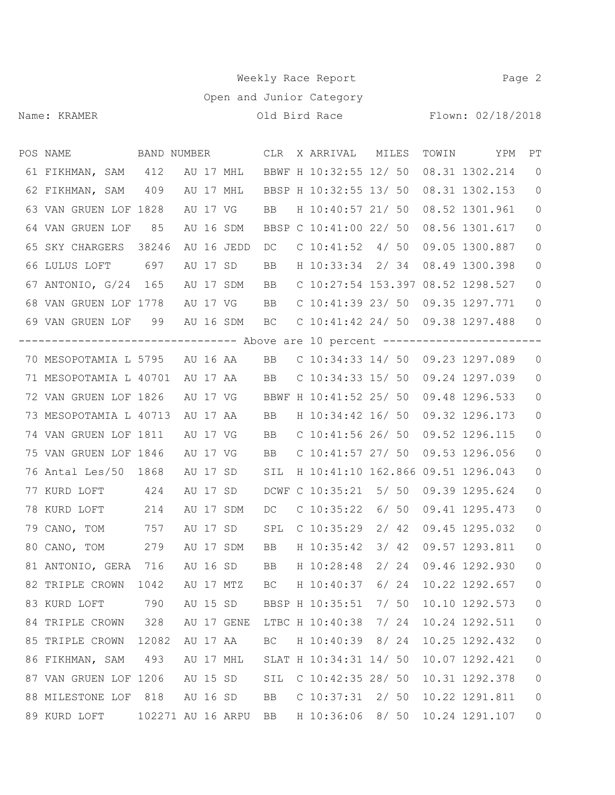## Weekly Race Report **Page 2**

Open and Junior Category

Name: KRAMER CHARR CHARGE CHARGE CHARGE CHARGE SERVICE CHARGE SERVICE RELATIONS CHARGE CHARGE CHARGE CHARGE CH<br>COMPOSITE CHARGE CHARGE SERVICE CHARGE CHARGE CHARGE CHARGE CHARGE CHARGE CHARGE CHARGE CHARGE CHARGE CHARGE CH

| POS NAME               BAND NUMBER              CLR X ARRIVAL     MILES        |       |                   |     |                                                 |       | TOWIN YPM                             | PT             |
|--------------------------------------------------------------------------------|-------|-------------------|-----|-------------------------------------------------|-------|---------------------------------------|----------------|
| 61 FIKHMAN, SAM 412 AU 17 MHL BBWF H 10:32:55 12/ 50 08.31 1302.214            |       |                   |     |                                                 |       |                                       | $\overline{0}$ |
| 62 FIKHMAN, SAM 409 AU 17 MHL                                                  |       |                   |     |                                                 |       | BBSP H 10:32:55 13/ 50 08.31 1302.153 | 0              |
| 63 VAN GRUEN LOF 1828                                                          |       |                   |     | AU 17 VG BB H 10:40:57 21/ 50 08.52 1301.961    |       |                                       | 0              |
| 64 VAN GRUEN LOF 85                                                            |       |                   |     | AU 16 SDM BBSP C 10:41:00 22/ 50 08.56 1301.617 |       |                                       | $\circ$        |
| 65 SKY CHARGERS 38246                                                          |       |                   |     | AU 16 JEDD DC C 10:41:52 4/ 50 09.05 1300.887   |       |                                       | 0              |
| 66 LULUS LOFT 697                                                              |       | AU 17 SD          | BB  | H 10:33:34 2/ 34 08.49 1300.398                 |       |                                       | $\circ$        |
| 67 ANTONIO, G/24 165 AU 17 SDM BB C 10:27:54 153.397 08.52 1298.527            |       |                   |     |                                                 |       |                                       | 0              |
| 68 VAN GRUEN LOF 1778 AU 17 VG BB C 10:41:39 23/ 50 09.35 1297.771             |       |                   |     |                                                 |       |                                       | 0              |
| 69 VAN GRUEN LOF 99 AU 16 SDM BC C 10:41:42 24/ 50 09.38 1297.488 0            |       |                   |     |                                                 |       |                                       |                |
| -------------------------------- Above are 10 percent ------------------------ |       |                   |     |                                                 |       |                                       |                |
| 70 MESOPOTAMIA L 5795 AU 16 AA BB C 10:34:33 14/ 50 09.23 1297.089             |       |                   |     |                                                 |       |                                       | $\overline{0}$ |
| 71 MESOPOTAMIA L 40701 AU 17 AA BB C 10:34:33 15/ 50 09.24 1297.039            |       |                   |     |                                                 |       |                                       | 0              |
| 72 VAN GRUEN LOF 1826 AU 17 VG BBWF H 10:41:52 25/ 50 09.48 1296.533           |       |                   |     |                                                 |       |                                       | $\circ$        |
| 73 MESOPOTAMIA L 40713 AU 17 AA                                                |       |                   |     | BB H 10:34:42 16/ 50 09.32 1296.173             |       |                                       | 0              |
| 74 VAN GRUEN LOF 1811                                                          |       | AU 17 VG          |     | BB C 10:41:56 26/ 50                            |       | 09.52 1296.115                        | $\circ$        |
| 75 VAN GRUEN LOF 1846 AU 17 VG BB C 10:41:57 27/ 50 09.53 1296.056             |       |                   |     |                                                 |       |                                       | 0              |
| 76 Antal Les/50 1868 AU 17 SD SIL H 10:41:10 162.866 09.51 1296.043            |       |                   |     |                                                 |       |                                       | 0              |
| 77 KURD LOFT 424                                                               |       |                   |     | AU 17 SD DCWF C 10:35:21 5/ 50 09.39 1295.624   |       |                                       | 0              |
| 78 KURD LOFT                                                                   | 214   | AU 17 SDM         |     | DC C 10:35:22 6/ 50 09.41 1295.473              |       |                                       | 0              |
| 79 CANO, TOM 757                                                               |       |                   |     | AU 17 SD SPL C 10:35:29 2/ 42                   |       | 09.45 1295.032                        | 0              |
| 80 CANO, TOM 279                                                               |       | AU 17 SDM         |     | BB H 10:35:42 3/ 42 09.57 1293.811              |       |                                       | 0              |
| 81 ANTONIO, GERA 716                                                           |       | AU 16 SD BB       |     | H 10:28:48 2/ 24 09.46 1292.930                 |       |                                       | 0              |
| 82 TRIPLE CROWN 1042 AU 17 MTZ BC H 10:40:37 6/ 24 10.22 1292.657              |       |                   |     |                                                 |       |                                       | $\circ$        |
| 83 KURD LOFT                                                                   | 790   | AU 15 SD          |     | BBSP H 10:35:51                                 | 7/ 50 | 10.10 1292.573                        | $\mathbf{0}$   |
| 84 TRIPLE CROWN                                                                | 328   |                   |     | AU 17 GENE LTBC H 10:40:38                      | 7/24  | 10.24 1292.511                        | $\circ$        |
| 85 TRIPLE CROWN                                                                | 12082 | AU 17 AA          | BC  | H 10:40:39 8/ 24                                |       | 10.25 1292.432                        | $\mathsf{O}$   |
| 86 FIKHMAN, SAM                                                                | 493   | AU 17 MHL         |     | SLAT H 10:34:31 14/ 50                          |       | 10.07 1292.421                        | $\overline{0}$ |
| 87 VAN GRUEN LOF 1206                                                          |       | AU 15 SD          | SIL | $C$ 10:42:35 28/ 50                             |       | 10.31 1292.378                        | $\mathsf{O}$   |
| 88 MILESTONE LOF 818                                                           |       | AU 16 SD          | BB  | $C$ 10:37:31 2/ 50                              |       | 10.22 1291.811                        | $\mathsf{O}$   |
| 89 KURD LOFT                                                                   |       | 102271 AU 16 ARPU | BB  | H 10:36:06 8/ 50                                |       | 10.24 1291.107                        | $\mathsf{O}$   |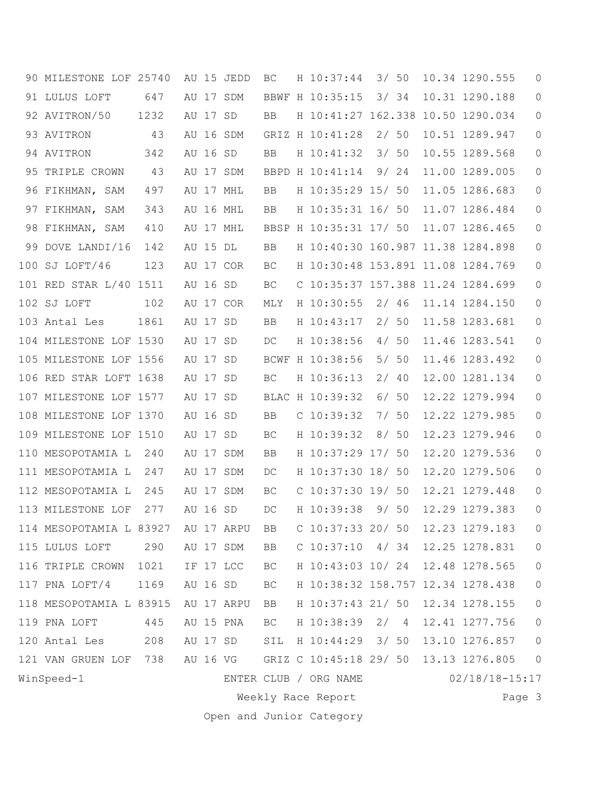|    | 90 MILESTONE LOF 25740  |      |          | AU 15 JEDD | BC                  | H 10:37:44                        | 3/50  |  | 10.34 1290.555     | 0                   |
|----|-------------------------|------|----------|------------|---------------------|-----------------------------------|-------|--|--------------------|---------------------|
| 91 | LULUS LOFT              | 647  |          | AU 17 SDM  |                     | BBWF H 10:35:15                   | 3/34  |  | 10.31 1290.188     | $\mathbf{0}$        |
|    | 92 AVITRON/50           | 1232 | AU 17 SD |            | BB.                 | H 10:41:27 162.338                |       |  | 10.50 1290.034     | 0                   |
|    | 93 AVITRON              | 43   |          | AU 16 SDM  |                     | GRIZ H 10:41:28                   | 2/50  |  | 10.51 1289.947     | 0                   |
|    | 94 AVITRON              | 342  | AU 16 SD |            | BB                  | H 10:41:32                        | 3/50  |  | 10.55 1289.568     | 0                   |
| 95 | TRIPLE CROWN            | 43   |          | AU 17 SDM  |                     | BBPD H 10:41:14                   | 9/24  |  | 11.00 1289.005     | 0                   |
|    | 96 FIKHMAN, SAM         | 497  |          | AU 17 MHL  | BB                  | H 10:35:29 15/ 50                 |       |  | 11.05 1286.683     | 0                   |
| 97 | FIKHMAN, SAM            | 343  |          | AU 16 MHL  | BB                  | H 10:35:31 16/ 50                 |       |  | 11.07 1286.484     | 0                   |
| 98 | FIKHMAN, SAM            | 410  |          | AU 17 MHL  |                     | BBSP H 10:35:31 17/ 50            |       |  | 11.07 1286.465     | 0                   |
| 99 | DOVE LANDI/16           | 142  | AU 15 DL |            | BB                  | H 10:40:30 160.987 11.38 1284.898 |       |  |                    | 0                   |
|    | 100 SJ LOFT/46          | 123  |          | AU 17 COR  | BC                  | H 10:30:48 153.891 11.08 1284.769 |       |  |                    | 0                   |
|    | 101 RED STAR L/40 1511  |      | AU 16 SD |            | ВC                  | C 10:35:37 157.388 11.24 1284.699 |       |  |                    | 0                   |
|    | 102 SJ LOFT             | 102  |          | AU 17 COR  | MLY                 | H 10:30:55                        | 2/46  |  | 11.14 1284.150     | 0                   |
|    | 103 Antal Les           | 1861 | AU 17 SD |            | BB                  | H 10:43:17                        | 2/50  |  | 11.58 1283.681     | 0                   |
|    | 104 MILESTONE LOF 1530  |      | AU 17 SD |            | DC                  | H 10:38:56                        | 4/50  |  | 11.46 1283.541     | 0                   |
|    | 105 MILESTONE LOF 1556  |      | AU 17 SD |            |                     | BCWF H 10:38:56                   | 5/50  |  | 11.46 1283.492     | 0                   |
|    | 106 RED STAR LOFT 1638  |      | AU 17 SD |            | BC                  | H 10:36:13                        | 2/40  |  | 12.00 1281.134     | 0                   |
|    | 107 MILESTONE LOF 1577  |      | AU 17 SD |            |                     | BLAC H 10:39:32                   | 6/50  |  | 12.22 1279.994     | $\circ$             |
|    | 108 MILESTONE LOF 1370  |      | AU 16 SD |            | BB.                 | $C$ 10:39:32                      | 7/ 50 |  | 12.22 1279.985     | 0                   |
|    | 109 MILESTONE LOF 1510  |      | AU 17 SD |            | BC                  | H 10:39:32                        | 8/50  |  | 12.23 1279.946     | $\circ$             |
|    | 110 MESOPOTAMIA L       | 240  |          | AU 17 SDM  | BB                  | H 10:37:29 17/ 50                 |       |  | 12.20 1279.536     | 0                   |
|    | 111 MESOPOTAMIA L       | 247  |          | AU 17 SDM  | DC                  | H 10:37:30 18/ 50                 |       |  | 12.20 1279.506     | 0                   |
|    | 112 MESOPOTAMIA L       | 245  |          | AU 17 SDM  | BC                  | $C$ 10:37:30 19/ 50               |       |  | 12.21 1279.448     | 0                   |
|    | 113 MILESTONE LOF       | 277  | AU 16 SD |            | DC                  | H 10:39:38                        | 9/ 50 |  | 12.29 1279.383     | 0                   |
|    | 114 MESOPOTAMIA L 83927 |      |          | AU 17 ARPU | BB                  | $C$ 10:37:33 20/ 50               |       |  | 12.23 1279.183     | 0                   |
|    | 115 LULUS LOFT          | 290  |          | AU 17 SDM  | BB                  | $C$ 10:37:10 4/34                 |       |  | 12.25 1278.831     | $\mathsf{O}$        |
|    | 116 TRIPLE CROWN        | 1021 |          | IF 17 LCC  | BC                  | H 10:43:03 10/ 24 12.48 1278.565  |       |  |                    | $\mathsf{O}\xspace$ |
|    | 117 PNA LOFT/4          | 1169 | AU 16 SD |            | $\operatorname{BC}$ | H 10:38:32 158.757 12.34 1278.438 |       |  |                    | $\mathsf{O}$        |
|    | 118 MESOPOTAMIA L 83915 |      |          | AU 17 ARPU | BB                  | H 10:37:43 21/ 50                 |       |  | 12.34 1278.155     | $\mathsf{O}\xspace$ |
|    | 119 PNA LOFT            | 445  |          | AU 15 PNA  | BC                  | H 10:38:39 2/ 4                   |       |  | 12.41 1277.756     | $\mathsf{O}$        |
|    | 120 Antal Les           | 208  |          | AU 17 SD   |                     | SIL H 10:44:29 3/ 50              |       |  | 13.10 1276.857     | $\mathbb O$         |
|    | 121 VAN GRUEN LOF       | 738  |          |            |                     | AU 16 VG GRIZ C 10:45:18 29/ 50   |       |  | 13.13 1276.805     | $\circledcirc$      |
|    | WinSpeed-1              |      |          |            |                     | ENTER CLUB / ORG NAME             |       |  | $02/18/18 - 15:17$ |                     |
|    |                         |      |          |            |                     | Weekly Race Report                |       |  | Page 3             |                     |

Open and Junior Category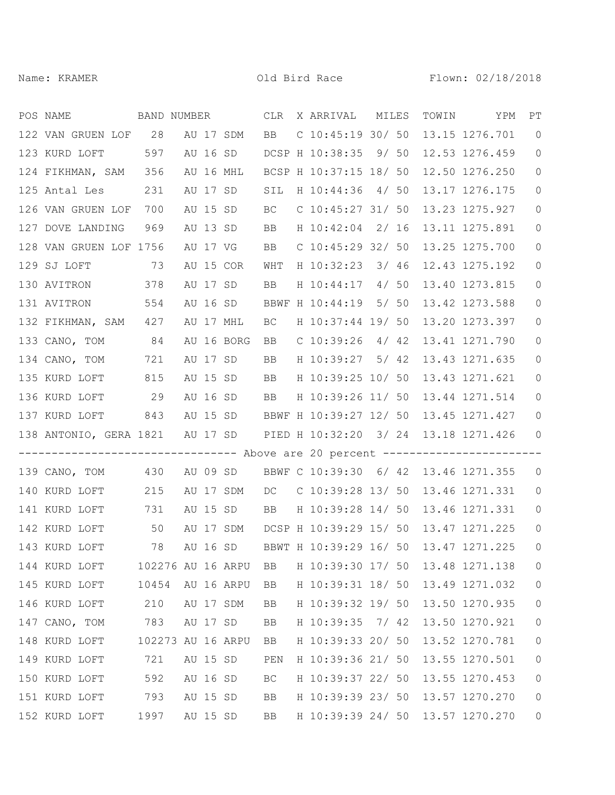| POS NAME<br>BAND NUMBER                                                       |                   |          |          |            | CLR       | X ARRIVAL MILES                                |      | TOWIN | YPM            | PT             |
|-------------------------------------------------------------------------------|-------------------|----------|----------|------------|-----------|------------------------------------------------|------|-------|----------------|----------------|
| 122 VAN GRUEN LOF 28                                                          |                   |          |          | AU 17 SDM  | <b>BB</b> | $C$ 10:45:19 30/ 50                            |      |       | 13.15 1276.701 | $\overline{0}$ |
| 123 KURD LOFT                                                                 | 597               |          |          |            |           | AU 16 SD DCSP H 10:38:35 9/ 50                 |      |       | 12.53 1276.459 | $\circ$        |
| 124 FIKHMAN, SAM 356                                                          |                   |          |          | AU 16 MHL  |           | BCSP H 10:37:15 18/ 50                         |      |       | 12.50 1276.250 | 0              |
| 125 Antal Les                                                                 | 231               |          |          | AU 17 SD   | SIL       | H 10:44:36 4/ 50                               |      |       | 13.17 1276.175 | $\overline{0}$ |
| 126 VAN GRUEN LOF                                                             | 700               |          | AU 15 SD |            | <b>BC</b> | $C$ 10:45:27 31/ 50                            |      |       | 13.23 1275.927 | $\circ$        |
| 127 DOVE LANDING                                                              | 969               |          | AU 13 SD |            | BB        | H 10:42:04 2/ 16                               |      |       | 13.11 1275.891 | $\circ$        |
| 128 VAN GRUEN LOF 1756                                                        |                   | AU 17 VG |          |            | BB        | $C$ 10:45:29 32/ 50                            |      |       | 13.25 1275.700 | $\circ$        |
| 129 SJ LOFT<br>73                                                             |                   |          |          | AU 15 COR  | WHT       | H 10:32:23 3/ 46                               |      |       | 12.43 1275.192 | $\circ$        |
| 378<br>130 AVITRON                                                            |                   |          | AU 17 SD |            | BB        | H 10:44:17 4/ 50                               |      |       | 13.40 1273.815 | $\circ$        |
| 131 AVITRON                                                                   | 554               |          | AU 16 SD |            |           | BBWF H 10:44:19 5/ 50                          |      |       | 13.42 1273.588 | $\circ$        |
| 132 FIKHMAN, SAM 427                                                          |                   |          |          | AU 17 MHL  | ВC        | H 10:37:44 19/ 50                              |      |       | 13.20 1273.397 | $\circ$        |
| 133 CANO, TOM 84                                                              |                   |          |          | AU 16 BORG | BB        | $C$ 10:39:26 4/42                              |      |       | 13.41 1271.790 | $\circ$        |
| 134 CANO, TOM                                                                 | 721               |          | AU 17 SD |            | BB        | H 10:39:27 5/ 42                               |      |       | 13.43 1271.635 | $\circ$        |
| 135 KURD LOFT                                                                 | 815               |          | AU 15 SD |            | BB        | H 10:39:25 10/ 50                              |      |       | 13.43 1271.621 | $\circ$        |
| 136 KURD LOFT                                                                 | 29                |          | AU 16 SD |            | BB        | H 10:39:26 11/ 50                              |      |       | 13.44 1271.514 | $\circ$        |
| 137 KURD LOFT                                                                 | 843               |          |          |            |           | AU 15 SD BBWF H 10:39:27 12/ 50                |      |       | 13.45 1271.427 | $\circ$        |
| 138 ANTONIO, GERA 1821 AU 17 SD                                               |                   |          |          |            |           | PIED H 10:32:20 3/ 24 13.18 1271.426           |      |       |                | $\overline{0}$ |
| ------------------------------- Above are 20 percent ------------------------ |                   |          |          |            |           |                                                |      |       |                |                |
| 139 CANO, TOM 430                                                             |                   |          |          | AU 09 SD   |           | BBWF C 10:39:30 6/ 42 13.46 1271.355           |      |       |                | $\circ$        |
| 140 KURD LOFT                                                                 | 215               |          |          | AU 17 SDM  |           | DC C 10:39:28 13/ 50 13.46 1271.331            |      |       |                | $\circ$        |
| 141 KURD LOFT                                                                 | 731               |          |          | AU 15 SD   |           | BB H 10:39:28 14/ 50 13.46 1271.331            |      |       |                | $\overline{0}$ |
| 142 KURD LOFT                                                                 | 50                |          |          | AU 17 SDM  |           | DCSP H 10:39:29 15/ 50                         |      |       | 13.47 1271.225 | $\circ$        |
| 143 KURD LOFT                                                                 | 78                |          |          |            |           | AU 16 SD BBWT H 10:39:29 16/ 50 13.47 1271.225 |      |       |                | $\circ$        |
| 144 KURD LOFT                                                                 | 102276 AU 16 ARPU |          |          |            | BB        | H 10:39:30 17/ 50                              |      |       | 13.48 1271.138 | $\overline{0}$ |
| 145 KURD LOFT                                                                 | 10454             |          |          | AU 16 ARPU | BB        | H 10:39:31 18/ 50                              |      |       | 13.49 1271.032 | $\circ$        |
| 146 KURD LOFT                                                                 | 210               |          |          | AU 17 SDM  | BB        | H 10:39:32 19/ 50                              |      |       | 13.50 1270.935 | $\mathsf{O}$   |
| 147 CANO, TOM                                                                 | 783               |          | AU 17 SD |            | BB        | H 10:39:35                                     | 7/42 |       | 13.50 1270.921 | $\mathbb O$    |
| 148 KURD LOFT                                                                 | 102273 AU 16 ARPU |          |          |            | BB        | H 10:39:33 20/ 50                              |      |       | 13.52 1270.781 | $\circ$        |
| 149 KURD LOFT                                                                 | 721               |          | AU 15 SD |            | PEN       | H 10:39:36 21/ 50                              |      |       | 13.55 1270.501 | $\circ$        |
| 150 KURD LOFT                                                                 | 592               |          | AU 16 SD |            | ВC        | H 10:39:37 22/ 50                              |      |       | 13.55 1270.453 | $\circ$        |
| 151 KURD LOFT                                                                 | 793               |          | AU 15 SD |            | BB        | H 10:39:39 23/ 50                              |      |       | 13.57 1270.270 | $\circ$        |
| 152 KURD LOFT                                                                 | 1997              |          | AU 15 SD |            | BB        | H 10:39:39 24/ 50                              |      |       | 13.57 1270.270 | $\circ$        |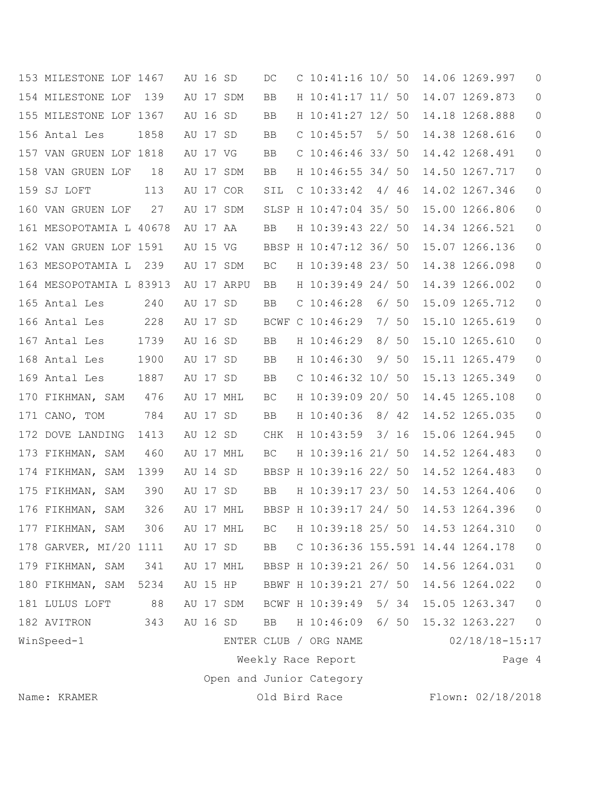| 153 MILESTONE LOF 1467  |      | AU 16 SD |            | DC  | $C$ 10:41:16 10/ 50               |       |        | 14.06 1269.997     | $\circ$        |
|-------------------------|------|----------|------------|-----|-----------------------------------|-------|--------|--------------------|----------------|
| 154 MILESTONE LOF       | 139  |          | AU 17 SDM  | BB  | H 10:41:17 11/ 50                 |       |        | 14.07 1269.873     | $\circ$        |
| 155 MILESTONE LOF 1367  |      | AU 16 SD |            | BB  | H 10:41:27 12/ 50                 |       |        | 14.18 1268.888     | $\circ$        |
| 156 Antal Les           | 1858 | AU 17 SD |            | BB  | $C$ 10:45:57                      | 5/50  |        | 14.38 1268.616     | 0              |
| 157 VAN GRUEN LOF 1818  |      | AU 17 VG |            | BB  | $C$ 10:46:46 33/ 50               |       |        | 14.42 1268.491     | $\circ$        |
| 158 VAN GRUEN LOF       | 18   |          | AU 17 SDM  | BB  | H 10:46:55 34/ 50                 |       |        | 14.50 1267.717     | $\circ$        |
| 159 SJ LOFT             | 113  |          | AU 17 COR  | SIL | $C$ 10:33:42                      | 4/46  |        | 14.02 1267.346     | 0              |
| 160 VAN GRUEN LOF       | 27   |          | AU 17 SDM  |     | SLSP H 10:47:04 35/ 50            |       |        | 15.00 1266.806     | 0              |
| 161 MESOPOTAMIA L 40678 |      | AU 17 AA |            | BB  | H 10:39:43 22/ 50                 |       |        | 14.34 1266.521     | $\circ$        |
| 162 VAN GRUEN LOF 1591  |      | AU 15 VG |            |     | BBSP H 10:47:12 36/ 50            |       |        | 15.07 1266.136     | $\circ$        |
| 163 MESOPOTAMIA L       | 239  |          | AU 17 SDM  | BC  | H 10:39:48 23/ 50                 |       |        | 14.38 1266.098     | $\circ$        |
| 164 MESOPOTAMIA L 83913 |      |          | AU 17 ARPU | BB  | H 10:39:49 24/ 50                 |       |        | 14.39 1266.002     | $\mathbf 0$    |
| 165 Antal Les           | 240  | AU 17 SD |            | BB  | $C$ 10:46:28                      | 6/50  |        | 15.09 1265.712     | $\circ$        |
| 166 Antal Les           | 228  | AU 17 SD |            |     | BCWF C 10:46:29                   | 7/50  |        | 15.10 1265.619     | $\circ$        |
| 167 Antal Les           | 1739 | AU 16 SD |            | BB  | H 10:46:29                        | 8/50  |        | 15.10 1265.610     | 0              |
| 168 Antal Les           | 1900 | AU 17 SD |            | BB  | H 10:46:30                        | 9/50  |        | 15.11 1265.479     | $\circ$        |
| 169 Antal Les           | 1887 | AU 17 SD |            | BB  | $C$ 10:46:32 10/ 50               |       |        | 15.13 1265.349     | 0              |
| 170 FIKHMAN, SAM        | 476  |          | AU 17 MHL  | BC  | H 10:39:09 20/ 50                 |       |        | 14.45 1265.108     | $\circ$        |
| 171 CANO, TOM           | 784  | AU 17 SD |            | BB  | H 10:40:36                        | 8/ 42 |        | 14.52 1265.035     | 0              |
| 172 DOVE LANDING        | 1413 | AU 12 SD |            | CHK | H 10:43:59                        | 3/16  |        | 15.06 1264.945     | $\circ$        |
| 173 FIKHMAN, SAM        | 460  |          | AU 17 MHL  | BC. | H 10:39:16 21/ 50                 |       |        | 14.52 1264.483     | 0              |
| 174 FIKHMAN, SAM        | 1399 | AU 14 SD |            |     | BBSP H 10:39:16 22/ 50            |       |        | 14.52 1264.483     | $\circ$        |
| 175 FIKHMAN, SAM        | 390  | AU 17 SD |            | BB  | H 10:39:17 23/ 50                 |       |        | 14.53 1264.406     | $\circ$        |
| 176 FIKHMAN, SAM        | 326  |          | AU 17 MHL  |     | BBSP H 10:39:17 24/ 50            |       |        | 14.53 1264.396     | $\overline{0}$ |
| 177 FIKHMAN, SAM        | 306  |          | AU 17 MHL  | ВC  | H 10:39:18 25/ 50                 |       |        | 14.53 1264.310     | 0              |
| 178 GARVER, MI/20 1111  |      | AU 17 SD |            | BB  | C 10:36:36 155.591 14.44 1264.178 |       |        |                    | $\mathbb O$    |
| 179 FIKHMAN, SAM        | 341  |          | AU 17 MHL  |     | BBSP H 10:39:21 26/ 50            |       |        | 14.56 1264.031     | $\circledcirc$ |
| 180 FIKHMAN, SAM        | 5234 |          | AU 15 HP   |     | BBWF H 10:39:21 27/ 50            |       |        | 14.56 1264.022     | $\circledcirc$ |
| 181 LULUS LOFT          | 88   |          | AU 17 SDM  |     | BCWF H 10:39:49 5/ 34             |       |        | 15.05 1263.347     | $\circledcirc$ |
| 182 AVITRON             | 343  | AU 16 SD |            | BB  | H 10:46:09                        |       | $6/50$ | 15.32 1263.227     | $\circ$        |
| WinSpeed-1              |      |          |            |     | ENTER CLUB / ORG NAME             |       |        | $02/18/18 - 15:17$ |                |
|                         |      |          |            |     | Weekly Race Report                |       |        |                    | Page 4         |
|                         |      |          |            |     | Open and Junior Category          |       |        |                    |                |
| Name: KRAMER            |      |          |            |     | Old Bird Race                     |       |        | Flown: 02/18/2018  |                |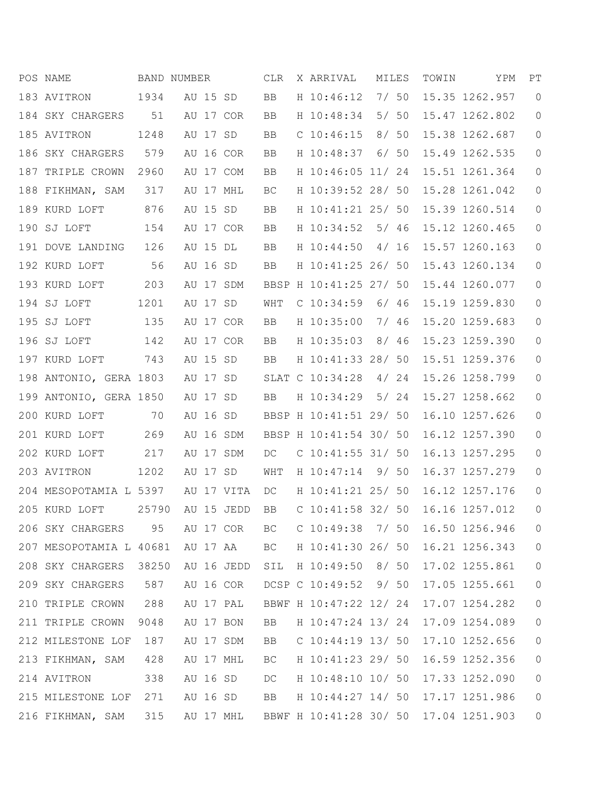|     | POS NAME                |       | BAND NUMBER |            | CLR       | X ARRIVAL              | MILES |      | TOWIN | YPM            | PT             |
|-----|-------------------------|-------|-------------|------------|-----------|------------------------|-------|------|-------|----------------|----------------|
|     | 183 AVITRON             | 1934  | AU 15 SD    |            | <b>BB</b> | H 10:46:12             | 7/50  |      |       | 15.35 1262.957 | $\overline{0}$ |
|     | 184 SKY CHARGERS        | 51    |             | AU 17 COR  | BB        | H 10:48:34             | 5/50  |      |       | 15.47 1262.802 | 0              |
|     | 185 AVITRON             | 1248  | AU 17 SD    |            | BB        | $C$ 10:46:15           | 8/50  |      |       | 15.38 1262.687 | $\circ$        |
|     | 186 SKY CHARGERS        | 579   |             | AU 16 COR  | BB        | H 10:48:37             |       | 6/50 |       | 15.49 1262.535 | $\circ$        |
|     | 187 TRIPLE CROWN        | 2960  |             | AU 17 COM  | BB        | H 10:46:05 11/ 24      |       |      |       | 15.51 1261.364 | $\circ$        |
|     | 188 FIKHMAN, SAM        | 317   |             | AU 17 MHL  | BC        | H 10:39:52 28/ 50      |       |      |       | 15.28 1261.042 | 0              |
|     | 189 KURD LOFT           | 876   | AU 15 SD    |            | BB        | H 10:41:21 25/ 50      |       |      |       | 15.39 1260.514 | 0              |
| 190 | SJ LOFT                 | 154   |             | AU 17 COR  | BB        | H 10:34:52             | 5/46  |      |       | 15.12 1260.465 | $\circ$        |
|     | 191 DOVE LANDING        | 126   | AU 15 DL    |            | BB        | H 10:44:50             | 4/16  |      |       | 15.57 1260.163 | $\circ$        |
|     | 192 KURD LOFT           | 56    | AU 16 SD    |            | BB        | H 10:41:25 26/ 50      |       |      |       | 15.43 1260.134 | $\circ$        |
|     | 193 KURD LOFT           | 203   |             | AU 17 SDM  |           | BBSP H 10:41:25 27/ 50 |       |      |       | 15.44 1260.077 | $\circ$        |
|     | 194 SJ LOFT             | 1201  | AU 17 SD    |            | WHT       | $C$ 10:34:59           | 6/46  |      |       | 15.19 1259.830 | $\circ$        |
|     | 195 SJ LOFT             | 135   |             | AU 17 COR  | BB        | H 10:35:00             |       | 7/96 |       | 15.20 1259.683 | $\circ$        |
|     | 196 SJ LOFT             | 142   |             | AU 17 COR  | BB        | H 10:35:03             | 8/46  |      |       | 15.23 1259.390 | $\overline{0}$ |
|     | 197 KURD LOFT           | 743   | AU 15 SD    |            | BB        | H 10:41:33 28/ 50      |       |      |       | 15.51 1259.376 | 0              |
| 198 | ANTONIO, GERA 1803      |       | AU 17 SD    |            |           | SLAT C 10:34:28        | 4/24  |      |       | 15.26 1258.799 | $\circ$        |
| 199 | ANTONIO, GERA 1850      |       | AU 17       | SD         | <b>BB</b> | H 10:34:29             | 5/24  |      |       | 15.27 1258.662 | $\circ$        |
|     | 200 KURD LOFT           | 70    | AU 16 SD    |            |           | BBSP H 10:41:51 29/ 50 |       |      |       | 16.10 1257.626 | $\circ$        |
|     | 201 KURD LOFT           | 269   |             | AU 16 SDM  |           | BBSP H 10:41:54 30/ 50 |       |      |       | 16.12 1257.390 | $\circ$        |
|     | 202 KURD LOFT           | 217   |             | AU 17 SDM  | DC        | $C$ 10:41:55 31/ 50    |       |      |       | 16.13 1257.295 | 0              |
|     | 203 AVITRON             | 1202  | AU 17 SD    |            | WHT       | H 10:47:14             | 9/50  |      |       | 16.37 1257.279 | $\circ$        |
|     | 204 MESOPOTAMIA L 5397  |       |             | AU 17 VITA | DC        | H 10:41:21 25/ 50      |       |      |       | 16.12 1257.176 | 0              |
|     | 205 KURD LOFT           | 25790 |             | AU 15 JEDD | BB        | $C$ 10:41:58 32/ 50    |       |      |       | 16.16 1257.012 | $\overline{0}$ |
|     | 206 SKY CHARGERS        | 95    |             | AU 17 COR  | BC        | $C$ 10:49:38           | 7/ 50 |      |       | 16.50 1256.946 | $\circ$        |
|     | 207 MESOPOTAMIA L 40681 |       |             | AU 17 AA   | BC        | H 10:41:30 26/ 50      |       |      |       | 16.21 1256.343 | $\circ$        |
|     | 208 SKY CHARGERS 38250  |       |             | AU 16 JEDD | SIL       | H 10:49:50 8/ 50       |       |      |       | 17.02 1255.861 | $\circ$        |
|     | 209 SKY CHARGERS        | 587   |             | AU 16 COR  |           | DCSP C 10:49:52 9/ 50  |       |      |       | 17.05 1255.661 | $\circ$        |
|     | 210 TRIPLE CROWN        | 288   |             | AU 17 PAL  |           | BBWF H 10:47:22 12/ 24 |       |      |       | 17.07 1254.282 | $\circ$        |
|     | 211 TRIPLE CROWN        | 9048  |             | AU 17 BON  | BB        | H 10:47:24 13/ 24      |       |      |       | 17.09 1254.089 | $\circ$        |
|     | 212 MILESTONE LOF       | 187   |             | AU 17 SDM  | BB        | $C$ 10:44:19 13/ 50    |       |      |       | 17.10 1252.656 | $\circ$        |
|     | 213 FIKHMAN, SAM        | 428   |             | AU 17 MHL  | BC.       | H 10:41:23 29/ 50      |       |      |       | 16.59 1252.356 | $\circ$        |
|     | 214 AVITRON             | 338   | AU 16 SD    |            | DC        | H 10:48:10 10/ 50      |       |      |       | 17.33 1252.090 | $\overline{0}$ |
|     | 215 MILESTONE LOF       | 271   | AU 16 SD    |            | BB        | H 10:44:27 14/ 50      |       |      |       | 17.17 1251.986 | $\circ$        |
|     | 216 FIKHMAN, SAM        | 315   |             | AU 17 MHL  |           | BBWF H 10:41:28 30/ 50 |       |      |       | 17.04 1251.903 | $\circ$        |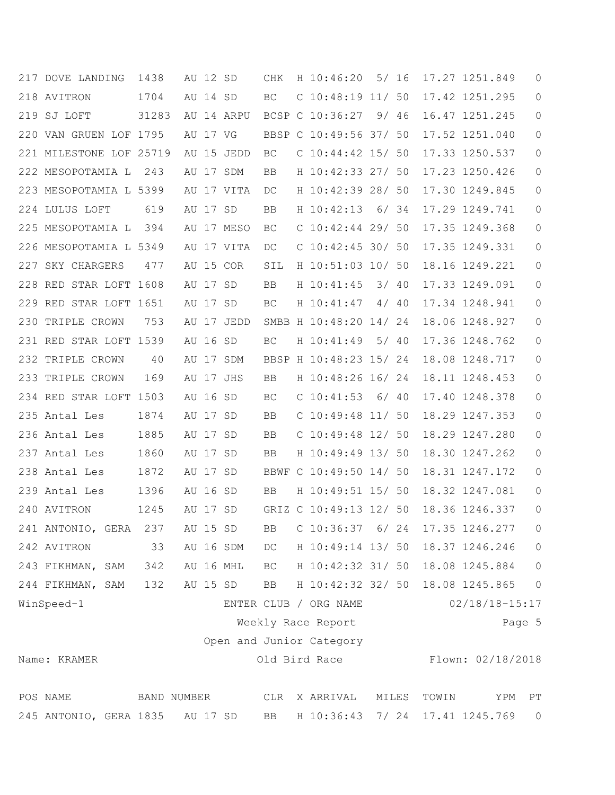| 217 DOVE LANDING        | 1438  | AU 12 SD    |            | CHK       | H 10:46:20               |      | 5/16  |       | 17.27 1251.849     | 0                          |
|-------------------------|-------|-------------|------------|-----------|--------------------------|------|-------|-------|--------------------|----------------------------|
| 218 AVITRON             | 1704  | AU 14 SD    |            | BC        | $C$ 10:48:19 11/ 50      |      |       |       | 17.42 1251.295     | $\mathbf{0}$               |
| 219 SJ LOFT             | 31283 |             | AU 14 ARPU |           | BCSP C 10:36:27          | 9746 |       |       | 16.47 1251.245     | 0                          |
| 220 VAN GRUEN LOF 1795  |       | AU 17 VG    |            |           | BBSP C 10:49:56 37/ 50   |      |       |       | 17.52 1251.040     | 0                          |
| 221 MILESTONE LOF 25719 |       |             | AU 15 JEDD | BC        | $C$ 10:44:42 15/ 50      |      |       |       | 17.33 1250.537     | 0                          |
| 222 MESOPOTAMIA L       | 243   | AU 17 SDM   |            | BB        | H 10:42:33 27/ 50        |      |       |       | 17.23 1250.426     | $\circ$                    |
| 223 MESOPOTAMIA L 5399  |       |             | AU 17 VITA | DC        | H 10:42:39 28/ 50        |      |       |       | 17.30 1249.845     | 0                          |
| 224 LULUS LOFT          | 619   | AU 17 SD    |            | BB        | H 10:42:13               |      | 6/34  |       | 17.29 1249.741     | 0                          |
| 225 MESOPOTAMIA L       | 394   |             | AU 17 MESO | BC        | $C$ 10:42:44 29/ 50      |      |       |       | 17.35 1249.368     | 0                          |
| 226 MESOPOTAMIA L 5349  |       |             | AU 17 VITA | DC        | $C$ 10:42:45 30/ 50      |      |       |       | 17.35 1249.331     | 0                          |
| SKY CHARGERS<br>227     | 477   | AU 15 COR   |            | SIL       | H 10:51:03 10/ 50        |      |       |       | 18.16 1249.221     | $\circ$                    |
| 228 RED STAR LOFT 1608  |       | AU 17 SD    |            | BB        | H 10:41:45               | 3/40 |       |       | 17.33 1249.091     | 0                          |
| 229 RED STAR LOFT 1651  |       | AU 17 SD    |            | BС        | H 10:41:47               |      | 4/40  |       | 17.34 1248.941     | $\circ$                    |
| 230 TRIPLE CROWN        | 753   |             | AU 17 JEDD |           | SMBB H 10:48:20 14/ 24   |      |       |       | 18.06 1248.927     | 0                          |
| 231 RED STAR LOFT 1539  |       | AU 16 SD    |            | BС        | H 10:41:49               |      | 5/40  |       | 17.36 1248.762     | $\circ$                    |
| 232 TRIPLE CROWN        | 40    | AU 17 SDM   |            |           | BBSP H 10:48:23 15/ 24   |      |       |       | 18.08 1248.717     | 0                          |
| 233<br>TRIPLE CROWN     | 169   | AU 17 JHS   |            | BB        | H 10:48:26 16/ 24        |      |       |       | 18.11 1248.453     | 0                          |
| 234 RED STAR LOFT 1503  |       | AU 16       | SD         | BC        | $C$ 10:41:53             | 6/40 |       |       | 17.40 1248.378     | 0                          |
| 235 Antal Les           | 1874  | AU 17 SD    |            | BB        | $C$ 10:49:48 11/50       |      |       |       | 18.29 1247.353     | 0                          |
| 236 Antal Les           | 1885  | AU 17       | SD         | BB        | C $10:49:48$ $12/50$     |      |       |       | 18.29 1247.280     | $\circ$                    |
| 237 Antal Les           | 1860  | AU 17 SD    |            | BB        | H 10:49:49 13/ 50        |      |       |       | 18.30 1247.262     | 0                          |
| 238 Antal Les           | 1872  | AU 17 SD    |            |           | BBWF C 10:49:50 14/ 50   |      |       |       | 18.31 1247.172     | 0                          |
| 239 Antal Les           | 1396  | AU 16 SD    |            | BB        | H 10:49:51 15/ 50        |      |       |       | 18.32 1247.081     | 0                          |
| 240 AVITRON             | 1245  | AU 17 SD    |            |           | GRIZ C 10:49:13 12/ 50   |      |       |       | 18.36 1246.337     | 0                          |
| 241 ANTONIO, GERA       | 237   | AU 15 SD    |            | BB        | $C$ 10:36:37 6/24        |      |       |       | 17.35 1246.277     | 0                          |
| 242 AVITRON             | 33    | AU 16 SDM   |            | DC        | H 10:49:14 13/ 50        |      |       |       | 18.37 1246.246     | $\mathbb O$                |
| 243 FIKHMAN, SAM        | 342   | AU 16 MHL   |            |           | BC H 10:42:32 31/ 50     |      |       |       | 18.08 1245.884     | $\mathbb O$                |
| 244 FIKHMAN, SAM        | 132   | AU 15 SD    |            | BB        | H 10:42:32 32/ 50        |      |       |       | 18.08 1245.865     | $\circledcirc$             |
| WinSpeed-1              |       |             |            |           | ENTER CLUB / ORG NAME    |      |       |       | $02/18/18 - 15:17$ |                            |
|                         |       |             |            |           | Weekly Race Report       |      |       |       |                    | Page 5                     |
|                         |       |             |            |           | Open and Junior Category |      |       |       |                    |                            |
| Name: KRAMER            |       |             |            |           | Old Bird Race            |      |       |       | Flown: 02/18/2018  |                            |
|                         |       |             |            |           |                          |      |       |       |                    |                            |
| POS NAME                |       | BAND NUMBER |            | CLR       | X ARRIVAL                |      | MILES | TOWIN | YPM                | $\mathop{\rm PT}\nolimits$ |
| 245 ANTONIO, GERA 1835  |       | AU 17 SD    |            | <b>BB</b> | H 10:36:43 7/ 24         |      |       |       | 17.41 1245.769     | $\overline{0}$             |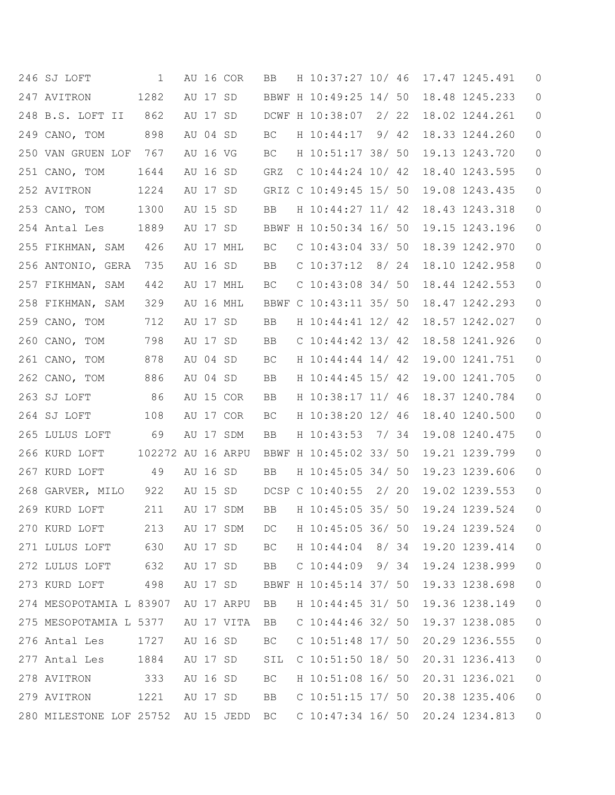| 246 SJ LOFT                        | 1                 |          |          | AU 16 COR  | BB  | H 10:37:27 10/ 46      |  | 17.47 1245.491 | $\theta$ |
|------------------------------------|-------------------|----------|----------|------------|-----|------------------------|--|----------------|----------|
| 247 AVITRON                        | 1282              | AU 17 SD |          |            |     | BBWF H 10:49:25 14/ 50 |  | 18.48 1245.233 | 0        |
| 248 B.S. LOFT II                   | 862               |          | AU 17 SD |            |     | DCWF H 10:38:07 2/ 22  |  | 18.02 1244.261 | 0        |
| 249 CANO, TOM                      | 898               |          | AU 04 SD |            | BC  | H 10:44:17 9/ 42       |  | 18.33 1244.260 | 0        |
| 250 VAN GRUEN LOF                  | 767               |          | AU 16 VG |            | BC. | H 10:51:17 38/ 50      |  | 19.13 1243.720 | 0        |
| 251 CANO, TOM                      | 1644              |          | AU 16 SD |            | GRZ | C $10:44:24$ $10/42$   |  | 18.40 1243.595 | 0        |
| 252 AVITRON                        | 1224              |          | AU 17 SD |            |     | GRIZ C 10:49:45 15/ 50 |  | 19.08 1243.435 | 0        |
| 253 CANO, TOM                      | 1300              | AU 15 SD |          |            | BB  | H 10:44:27 11/ 42      |  | 18.43 1243.318 | 0        |
| 254 Antal Les                      | 1889              | AU 17 SD |          |            |     | BBWF H 10:50:34 16/ 50 |  | 19.15 1243.196 | 0        |
| 255 FIKHMAN, SAM                   | 426               |          |          | AU 17 MHL  | BC  | C $10:43:04$ 33/ 50    |  | 18.39 1242.970 | 0        |
| 256 ANTONIO, GERA                  | 735               |          | AU 16 SD |            | BB  | $C$ 10:37:12 8/24      |  | 18.10 1242.958 | 0        |
| 257 FIKHMAN, SAM                   | 442               |          |          | AU 17 MHL  | ВC  | $C$ 10:43:08 34/ 50    |  | 18.44 1242.553 | 0        |
| 258 FIKHMAN, SAM                   | 329               |          |          | AU 16 MHL  |     | BBWF C 10:43:11 35/ 50 |  | 18.47 1242.293 | 0        |
| 259 CANO, TOM                      | 712               |          | AU 17 SD |            | BB  | H 10:44:41 12/ 42      |  | 18.57 1242.027 | 0        |
| 260 CANO, TOM                      | 798               |          | AU 17 SD |            | BB  | C $10:44:42$ 13/42     |  | 18.58 1241.926 | 0        |
| 261 CANO, TOM                      | 878               |          | AU 04 SD |            | BC  | H 10:44:44 14/ 42      |  | 19.00 1241.751 | 0        |
| 262 CANO, TOM                      | 886               |          | AU 04 SD |            | BB  | H 10:44:45 15/ 42      |  | 19.00 1241.705 | 0        |
| 263 SJ LOFT                        | 86                |          |          | AU 15 COR  | BB  | H 10:38:17 11/ 46      |  | 18.37 1240.784 | 0        |
| 264 SJ LOFT                        | 108               |          |          | AU 17 COR  | BC. | H 10:38:20 12/ 46      |  | 18.40 1240.500 | 0        |
| 265 LULUS LOFT                     | 69                |          |          | AU 17 SDM  | BB  | H 10:43:53 7/ 34       |  | 19.08 1240.475 | 0        |
| 266 KURD LOFT                      | 102272 AU 16 ARPU |          |          |            |     | BBWF H 10:45:02 33/ 50 |  | 19.21 1239.799 | 0        |
| 267 KURD LOFT                      | 49                |          | AU 16 SD |            | BB  | H 10:45:05 34/ 50      |  | 19.23 1239.606 | 0        |
| 268 GARVER, MILO                   | 922               |          | AU 15 SD |            |     | DCSP C 10:40:55 2/ 20  |  | 19.02 1239.553 | 0        |
| 269 KURD LOFT                      | 211               |          |          | AU 17 SDM  | BB  | H 10:45:05 35/ 50      |  | 19.24 1239.524 | 0        |
| 270 KURD LOFT                      | 213               |          |          | AU 17 SDM  | DC. | H 10:45:05 36/ 50      |  | 19.24 1239.524 | $\theta$ |
| 271 LULUS LOFT                     | 630               |          |          | AU 17 SD   | BC  | H 10:44:04 8/34        |  | 19.20 1239.414 | 0        |
| 272 LULUS LOFT                     | 632               | AU 17 SD |          |            | BB  | $C$ 10:44:09 9/34      |  | 19.24 1238.999 | 0        |
| 273 KURD LOFT                      | 498               |          | AU 17 SD |            |     | BBWF H 10:45:14 37/ 50 |  | 19.33 1238.698 | 0        |
| 274 MESOPOTAMIA L 83907            |                   |          |          | AU 17 ARPU | BB  | H 10:44:45 31/ 50      |  | 19.36 1238.149 | 0        |
| 275 MESOPOTAMIA L 5377             |                   |          |          | AU 17 VITA | BB  | C $10:44:46$ 32/ 50    |  | 19.37 1238.085 | 0        |
| 276 Antal Les                      | 1727              |          | AU 16 SD |            | BC. | $C$ 10:51:48 17/ 50    |  | 20.29 1236.555 | 0        |
| 277 Antal Les                      | 1884              |          | AU 17 SD |            | SIL | $C$ 10:51:50 18/ 50    |  | 20.31 1236.413 | 0        |
| 278 AVITRON                        | 333               |          | AU 16 SD |            | BC  | H 10:51:08 16/ 50      |  | 20.31 1236.021 | 0        |
| 279 AVITRON                        | 1221              |          | AU 17 SD |            | BB  | $C$ 10:51:15 17/ 50    |  | 20.38 1235.406 | 0        |
| 280 MILESTONE LOF 25752 AU 15 JEDD |                   |          |          |            | BC  | $C$ 10:47:34 16/ 50    |  | 20.24 1234.813 | 0        |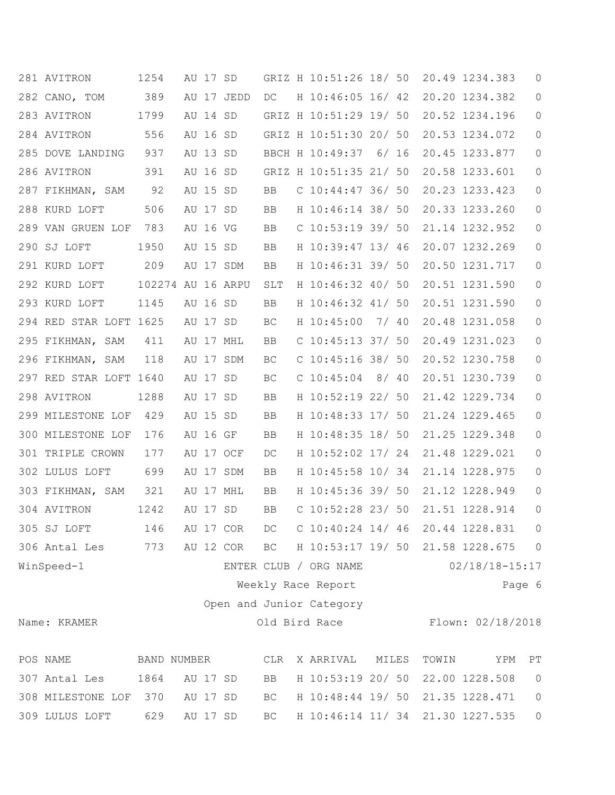|     | 281 AVITRON            | 1254              | AU 17 SD |            |     | GRIZ H 10:51:26 18/ 50   |       |       | 20.49 1234.383     | 0              |
|-----|------------------------|-------------------|----------|------------|-----|--------------------------|-------|-------|--------------------|----------------|
|     | 282 CANO, TOM          | 389               |          | AU 17 JEDD | DC  | H 10:46:05 16/ 42        |       |       | 20.20 1234.382     | $\circ$        |
|     | 283 AVITRON            | 1799              | AU 14 SD |            |     | GRIZ H 10:51:29 19/ 50   |       |       | 20.52 1234.196     | 0              |
|     | 284 AVITRON            | 556               | AU 16 SD |            |     | GRIZ H 10:51:30 20/ 50   |       |       | 20.53 1234.072     | $\circ$        |
|     | 285 DOVE LANDING       | 937               | AU 13 SD |            |     | BBCH H 10:49:37          | 6/ 16 |       | 20.45 1233.877     | $\circ$        |
|     | 286 AVITRON            | 391               | AU 16 SD |            |     | GRIZ H 10:51:35 21/ 50   |       |       | 20.58 1233.601     | $\circ$        |
|     | 287 FIKHMAN, SAM       | 92                | AU 15 SD |            | BB  | $C$ 10:44:47 36/ 50      |       |       | 20.23 1233.423     | $\circ$        |
|     | 288 KURD LOFT          | 506               | AU 17 SD |            | BB  | H 10:46:14 38/ 50        |       |       | 20.33 1233.260     | $\circ$        |
|     | 289 VAN GRUEN LOF      | 783               | AU 16 VG |            | BB  | $C$ 10:53:19 39/ 50      |       |       | 21.14 1232.952     | $\circ$        |
|     | 290 SJ LOFT            | 1950              | AU 15 SD |            | BB  | H 10:39:47 13/ 46        |       |       | 20.07 1232.269     | $\circ$        |
|     | 291 KURD LOFT          | 209               |          | AU 17 SDM  | BB  | H 10:46:31 39/ 50        |       |       | 20.50 1231.717     | $\circ$        |
|     | 292 KURD LOFT          | 102274 AU 16 ARPU |          |            | SLT | H 10:46:32 40/ 50        |       |       | 20.51 1231.590     | $\circ$        |
|     | 293 KURD LOFT          | 1145              | AU 16 SD |            | BB  | H 10:46:32 41/ 50        |       |       | 20.51 1231.590     | $\circ$        |
|     | 294 RED STAR LOFT 1625 |                   | AU 17 SD |            | BC  | H 10:45:00               | 7/ 40 |       | 20.48 1231.058     | 0              |
|     | 295 FIKHMAN, SAM       | 411               |          | AU 17 MHL  | BB  | C $10:45:13$ 37/ 50      |       |       | 20.49 1231.023     | 0              |
| 296 | FIKHMAN, SAM           | 118               |          | AU 17 SDM  | BC  | $C$ 10:45:16 38/ 50      |       |       | 20.52 1230.758     | $\circ$        |
|     | 297 RED STAR LOFT 1640 |                   | AU 17 SD |            | BC  | $C$ 10:45:04             | 8/40  |       | 20.51 1230.739     | $\circ$        |
|     | 298 AVITRON            | 1288              | AU 17 SD |            | BB  | H 10:52:19 22/ 50        |       |       | 21.42 1229.734     | $\circ$        |
|     | 299 MILESTONE LOF      | 429               | AU 15 SD |            | BB  | H 10:48:33 17/ 50        |       |       | 21.24 1229.465     | 0              |
|     | 300 MILESTONE LOF      | 176               | AU 16 GF |            | BB  | H 10:48:35 18/ 50        |       |       | 21.25 1229.348     | $\circ$        |
|     | 301 TRIPLE CROWN       | 177               |          | AU 17 OCF  | DC  | H 10:52:02 17/ 24        |       |       | 21.48 1229.021     | $\circ$        |
|     | 302 LULUS LOFT         | 699               |          | AU 17 SDM  | BB  | H 10:45:58 10/ 34        |       |       | 21.14 1228.975     | $\circ$        |
|     | 303 FIKHMAN, SAM       | 321               |          | AU 17 MHL  | BB  | H 10:45:36 39/ 50        |       |       | 21.12 1228.949     | 0              |
|     | 304 AVITRON            | 1242              | AU 17 SD |            | BB  | $C$ 10:52:28 23/ 50      |       |       | 21.51 1228.914     | 0              |
|     | 305 SJ LOFT            | 146               |          | AU 17 COR  | DC  | $C$ 10:40:24 14/ 46      |       |       | 20.44 1228.831     | $\circ$        |
|     | 306 Antal Les          | 773               |          | AU 12 COR  | BC  | H 10:53:17 19/ 50        |       |       | 21.58 1228.675     | $\circ$        |
|     | WinSpeed-1             |                   |          |            |     | ENTER CLUB / ORG NAME    |       |       | $02/18/18 - 15:17$ |                |
|     |                        |                   |          |            |     | Weekly Race Report       |       |       |                    | Page 6         |
|     |                        |                   |          |            |     | Open and Junior Category |       |       |                    |                |
|     | Name: KRAMER           |                   |          |            |     | Old Bird Race            |       |       | Flown: 02/18/2018  |                |
|     | POS NAME               | BAND NUMBER       |          |            | CLR | X ARRIVAL                | MILES | TOWIN | YPM                | PT             |
|     | 307 Antal Les          | 1864              | AU 17 SD |            | BB  | H 10:53:19 20/ 50        |       |       | 22.00 1228.508     | $\overline{0}$ |
|     | 308 MILESTONE LOF      | 370               | AU 17 SD |            | BC  | H 10:48:44 19/ 50        |       |       | 21.35 1228.471     | $\mathbb O$    |
|     | 309 LULUS LOFT         | 629               | AU 17 SD |            | BC  | H 10:46:14 11/ 34        |       |       | 21.30 1227.535     | $\circ$        |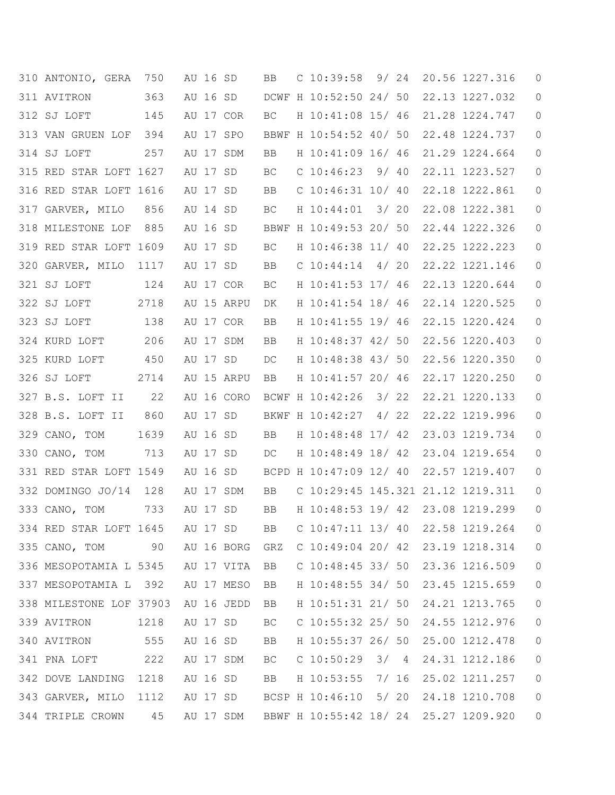|     | 310 ANTONIO, GERA                 | 750  | AU 16 SD |                | BB. | $C$ 10:39:58 9/24                     |      |  | 20.56 1227.316 | 0 |
|-----|-----------------------------------|------|----------|----------------|-----|---------------------------------------|------|--|----------------|---|
|     | 311 AVITRON                       | 363  | AU 16 SD |                |     | DCWF H 10:52:50 24/ 50                |      |  | 22.13 1227.032 | 0 |
|     | 312 SJ LOFT                       | 145  |          | AU 17 COR      | BC  | H 10:41:08 15/ 46                     |      |  | 21.28 1224.747 | 0 |
|     | 313 VAN GRUEN LOF                 | 394  |          | AU 17 SPO      |     | BBWF H 10:54:52 40/ 50                |      |  | 22.48 1224.737 | 0 |
|     | 314 SJ LOFT                       | 257  |          | AU 17 SDM      | BB  | H 10:41:09 16/ 46                     |      |  | 21.29 1224.664 | 0 |
|     | 315 RED STAR LOFT 1627            |      | AU 17 SD |                | BC  | $C$ 10:46:23 9/ 40                    |      |  | 22.11 1223.527 | 0 |
|     | 316 RED STAR LOFT 1616            |      | AU 17 SD |                | BB  | $C$ 10:46:31 10/ 40                   |      |  | 22.18 1222.861 | 0 |
|     | 317 GARVER, MILO                  | 856  | AU 14 SD |                | ВC  | H 10:44:01                            | 3/20 |  | 22.08 1222.381 | 0 |
| 318 | MILESTONE LOF                     | 885  | AU 16 SD |                |     | BBWF H 10:49:53 20/ 50                |      |  | 22.44 1222.326 | 0 |
|     | 319 RED STAR LOFT 1609            |      | AU 17 SD |                | ВC  | H 10:46:38 11/ 40                     |      |  | 22.25 1222.223 | 0 |
|     | 320 GARVER, MILO                  | 1117 | AU 17 SD |                | BB  | $C$ 10:44:14                          | 4/20 |  | 22.22 1221.146 | 0 |
|     | 321 SJ LOFT                       | 124  |          | AU 17 COR      | BС  | H 10:41:53 17/ 46                     |      |  | 22.13 1220.644 | 0 |
|     | 322 SJ LOFT                       | 2718 |          | AU 15 ARPU     | DK  | H 10:41:54 18/ 46                     |      |  | 22.14 1220.525 | 0 |
|     | 323 SJ LOFT                       | 138  |          | AU 17 COR      | BB  | H 10:41:55 19/ 46                     |      |  | 22.15 1220.424 | 0 |
|     | 324 KURD LOFT                     | 206  |          | AU 17 SDM      | BB  | H 10:48:37 42/ 50                     |      |  | 22.56 1220.403 | 0 |
|     | 325 KURD LOFT                     | 450  | AU 17 SD |                | DC  | H 10:48:38 43/ 50                     |      |  | 22.56 1220.350 | 0 |
|     | 326 SJ LOFT                       | 2714 |          | AU 15 ARPU     | BB  | H 10:41:57 20/ 46                     |      |  | 22.17 1220.250 | 0 |
|     | 327 B.S. LOFT II                  | 22   |          | AU 16 CORO     |     | BCWF H 10:42:26                       | 3/22 |  | 22.21 1220.133 | 0 |
|     | 328 B.S. LOFT II                  | 860  | AU 17 SD |                |     | BKWF H 10:42:27                       | 4/22 |  | 22.22 1219.996 | 0 |
|     | 329 CANO, TOM                     | 1639 | AU 16 SD |                | BB  | H 10:48:48 17/ 42                     |      |  | 23.03 1219.734 | 0 |
|     | 330 CANO, TOM                     | 713  | AU 17 SD |                | DC  | H 10:48:49 18/ 42                     |      |  | 23.04 1219.654 | 0 |
|     | 331 RED STAR LOFT 1549            |      | AU 16 SD |                |     | BCPD H 10:47:09 12/ 40                |      |  | 22.57 1219.407 | 0 |
|     | 332 DOMINGO JO/14                 | 128  |          | AU 17 SDM      | BB  | C 10:29:45 145.321 21.12 1219.311     |      |  |                | 0 |
|     | 333 CANO, TOM                     | 733  | AU 17 SD |                | BB  | H 10:48:53 19/ 42 23.08 1219.299      |      |  |                | 0 |
|     | 334 RED STAR LOFT 1645            |      | AU 17 SD |                | BB  | $C$ 10:47:11 13/40                    |      |  | 22.58 1219.264 | 0 |
|     | 335 CANO, TOM 90                  |      |          | AU 16 BORG GRZ |     | C 10:49:04 20/ 42 23.19 1218.314      |      |  |                | 0 |
|     | 336 MESOPOTAMIA L 5345 AU 17 VITA |      |          |                | BB  | C $10:48:45$ 33/ 50 23.36 1216.509    |      |  |                | 0 |
|     | 337 MESOPOTAMIA L 392             |      |          | AU 17 MESO     | BB  | H 10:48:55 34/ 50                     |      |  | 23.45 1215.659 | 0 |
|     | 338 MILESTONE LOF 37903           |      |          | AU 16 JEDD     | BB  | H 10:51:31 21/ 50                     |      |  | 24.21 1213.765 | 0 |
|     | 339 AVITRON                       | 1218 | AU 17 SD |                | ВC  | C $10:55:32$ 25/ 50                   |      |  | 24.55 1212.976 | 0 |
|     | 340 AVITRON                       | 555  |          | AU 16 SD       | BB  | H 10:55:37 26/ 50                     |      |  | 25.00 1212.478 | 0 |
|     | 341 PNA LOFT                      | 222  |          | AU 17 SDM      | BC  | $C$ 10:50:29 3/ 4                     |      |  | 24.31 1212.186 | 0 |
|     | 342 DOVE LANDING 1218             |      | AU 16 SD |                | BB  | H 10:53:55 7/ 16                      |      |  | 25.02 1211.257 | 0 |
|     | 343 GARVER, MILO 1112             |      |          | AU 17 SD       |     | BCSP H 10:46:10 5/ 20                 |      |  | 24.18 1210.708 | 0 |
|     | 344 TRIPLE CROWN                  | 45   |          | AU 17 SDM      |     | BBWF H 10:55:42 18/ 24 25.27 1209.920 |      |  |                | 0 |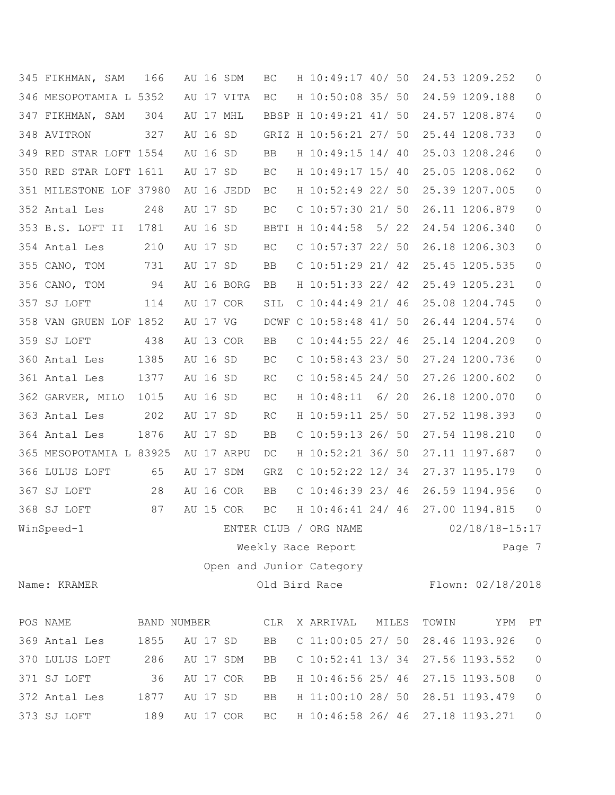| 345 FIKHMAN, SAM        | 166         | AU 16 SDM  | BC        | H 10:49:17 40/ 50        |       |       | 24.53 1209.252     | 0                      |
|-------------------------|-------------|------------|-----------|--------------------------|-------|-------|--------------------|------------------------|
| 346 MESOPOTAMIA L 5352  |             | AU 17 VITA | BC        | H 10:50:08 35/ 50        |       |       | 24.59 1209.188     | $\circledcirc$         |
| 347 FIKHMAN, SAM        | 304         | AU 17 MHL  |           | BBSP H 10:49:21 41/ 50   |       |       | 24.57 1208.874     | 0                      |
| 348 AVITRON             | 327         | AU 16 SD   |           | GRIZ H 10:56:21 27/ 50   |       |       | 25.44 1208.733     | 0                      |
| 349 RED STAR LOFT 1554  |             | AU 16 SD   | <b>BB</b> | H 10:49:15 14/ 40        |       |       | 25.03 1208.246     | 0                      |
| 350 RED STAR LOFT 1611  |             | AU 17 SD   | BC        | H 10:49:17 15/ 40        |       |       | 25.05 1208.062     | 0                      |
| 351 MILESTONE LOF 37980 |             | AU 16 JEDD | BC        | H 10:52:49 22/ 50        |       |       | 25.39 1207.005     | 0                      |
| 352 Antal Les           | 248         | AU 17 SD   | BC        | C 10:57:30 21/ 50        |       |       | 26.11 1206.879     | 0                      |
| 353 B.S. LOFT II        | 1781        | AU 16 SD   |           | BBTI H 10:44:58          | 5/ 22 |       | 24.54 1206.340     | $\mathsf{O}\xspace$    |
| 354 Antal Les           | 210         | AU 17 SD   | BC        | C $10:57:37$ 22/ 50      |       |       | 26.18 1206.303     | $\mathsf{O}$           |
| 355 CANO, TOM           | 731         | AU 17 SD   | BB        | C $10:51:29$ 21/42       |       |       | 25.45 1205.535     | $\circ$                |
| 356 CANO, TOM           | 94          | AU 16 BORG | BB        | H 10:51:33 22/ 42        |       |       | 25.49 1205.231     | 0                      |
| 357 SJ LOFT             | 114         | AU 17 COR  | SIL       | $C$ 10:44:49 21/46       |       |       | 25.08 1204.745     | $\circ$                |
| 358 VAN GRUEN LOF 1852  |             | AU 17 VG   |           | DCWF C 10:58:48 41/ 50   |       |       | 26.44 1204.574     | $\mathsf{O}\xspace$    |
| 359 SJ LOFT             | 438         | AU 13 COR  | BB        | $C$ 10:44:55 22/ 46      |       |       | 25.14 1204.209     | 0                      |
| 360 Antal Les           | 1385        | AU 16 SD   | BC        | $C$ 10:58:43 23/ 50      |       |       | 27.24 1200.736     | 0                      |
| 361 Antal Les           | 1377        | AU 16 SD   | RC        | C $10:58:45$ 24/ 50      |       |       | 27.26 1200.602     | $\mathsf{O}$           |
| 362 GARVER, MILO        | 1015        | AU 16 SD   | BC        | H 10:48:11               | 6/ 20 |       | 26.18 1200.070     | $\mathsf{O}\xspace$    |
| 363 Antal Les           | 202         | AU 17 SD   | RC        | H 10:59:11 25/ 50        |       |       | 27.52 1198.393     | $\mathsf{O}$           |
| 364 Antal Les           | 1876        | AU 17 SD   | BB        | $C$ 10:59:13 26/ 50      |       |       | 27.54 1198.210     | 0                      |
| 365 MESOPOTAMIA L 83925 |             | AU 17 ARPU | DC        | H 10:52:21 36/ 50        |       |       | 27.11 1197.687     | 0                      |
| 366 LULUS LOFT          | 65          | AU 17 SDM  | GRZ       | C $10:52:22$ 12/34       |       |       | 27.37 1195.179     | $\circ$                |
| 367 SJ LOFT             | 28          | AU 16 COR  | BB        | $C$ 10:46:39 23/ 46      |       |       | 26.59 1194.956     | 0                      |
| 368 SJ LOFT             | 87          | AU 15 COR  | BC        | H 10:46:41 24/ 46        |       |       | 27.00 1194.815     | $\circ$                |
| WinSpeed-1              |             |            |           | ENTER CLUB / ORG NAME    |       |       | $02/18/18 - 15:17$ |                        |
|                         |             |            |           | Weekly Race Report       |       |       |                    | Page 7                 |
|                         |             |            |           | Open and Junior Category |       |       |                    |                        |
| Name: KRAMER            |             |            |           | Old Bird Race            |       |       | Flown: 02/18/2018  |                        |
|                         |             |            |           |                          |       |       |                    |                        |
| POS NAME                | BAND NUMBER |            | CLR       | X ARRIVAL                | MILES | TOWIN | YPM                | $\mathbb{P}\mathbb{T}$ |
| 369 Antal Les           | 1855        | AU 17 SD   | BB        | $C$ 11:00:05 27/ 50      |       |       | 28.46 1193.926     | $\circ$                |
| 370 LULUS LOFT          | 286         | AU 17 SDM  | BB        | $C$ 10:52:41 13/34       |       |       | 27.56 1193.552     | $\mathbb O$            |
| 371 SJ LOFT             | 36          | AU 17 COR  | BB        | H 10:46:56 25/ 46        |       |       | 27.15 1193.508     | $\mathsf{O}\xspace$    |
| 372 Antal Les           | 1877        | AU 17 SD   | BB        | H 11:00:10 28/ 50        |       |       | 28.51 1193.479     | $\mathsf{O}\xspace$    |
| 373 SJ LOFT             | 189         | AU 17 COR  | BC        | H 10:46:58 26/ 46        |       |       | 27.18 1193.271     | $\mathsf{O}$           |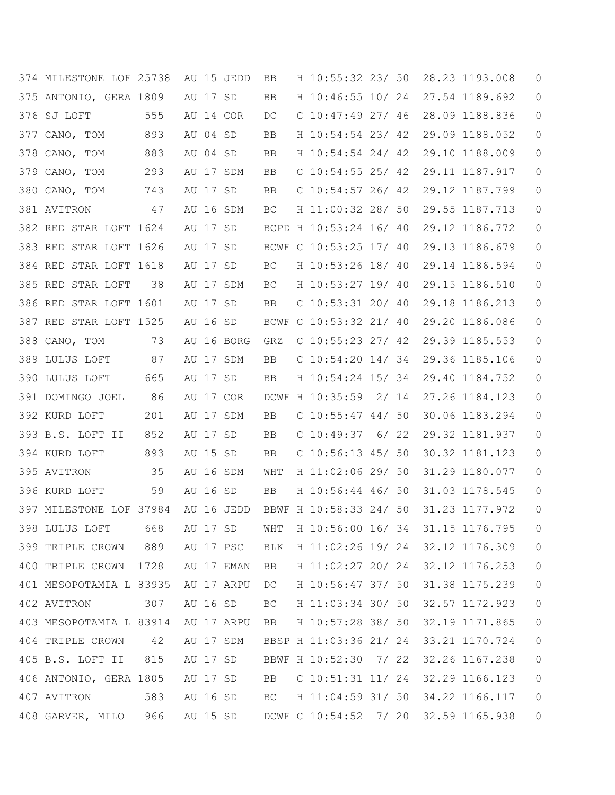| 374 MILESTONE LOF 25738 |      |          | AU 15 JEDD | BB  | H 10:55:32 23/ 50      |      |  | 28.23 1193.008 | 0       |
|-------------------------|------|----------|------------|-----|------------------------|------|--|----------------|---------|
| 375 ANTONIO, GERA 1809  |      | AU 17 SD |            | BB  | H 10:46:55 10/ 24      |      |  | 27.54 1189.692 | 0       |
| 376 SJ LOFT             | 555  |          | AU 14 COR  | DC  | $C$ 10:47:49 27/ 46    |      |  | 28.09 1188.836 | 0       |
| 377 CANO, TOM           | 893  | AU 04 SD |            | BB  | H 10:54:54 23/ 42      |      |  | 29.09 1188.052 | 0       |
| 378 CANO, TOM           | 883  | AU 04 SD |            | BB  | H 10:54:54 24/ 42      |      |  | 29.10 1188.009 | 0       |
| 379 CANO, TOM           | 293  |          | AU 17 SDM  | BB  | C $10:54:55$ 25/ 42    |      |  | 29.11 1187.917 | 0       |
| 380 CANO, TOM           | 743  | AU 17 SD |            | BB  | C $10:54:57$ 26/ 42    |      |  | 29.12 1187.799 | 0       |
| 381 AVITRON             | 47   |          | AU 16 SDM  | BC  | H 11:00:32 28/ 50      |      |  | 29.55 1187.713 | 0       |
| 382 RED STAR LOFT 1624  |      | AU 17 SD |            |     | BCPD H 10:53:24 16/ 40 |      |  | 29.12 1186.772 | 0       |
| 383 RED STAR LOFT 1626  |      | AU 17 SD |            |     | BCWF C 10:53:25 17/ 40 |      |  | 29.13 1186.679 | 0       |
| 384 RED STAR LOFT 1618  |      | AU 17 SD |            | ВC  | H 10:53:26 18/ 40      |      |  | 29.14 1186.594 | 0       |
| 385 RED STAR LOFT       | 38   |          | AU 17 SDM  | BC. | H 10:53:27 19/ 40      |      |  | 29.15 1186.510 | 0       |
| 386 RED STAR LOFT 1601  |      | AU 17 SD |            | BB  | $C$ 10:53:31 20/ 40    |      |  | 29.18 1186.213 | 0       |
| 387 RED STAR LOFT 1525  |      | AU 16 SD |            |     | BCWF C 10:53:32 21/ 40 |      |  | 29.20 1186.086 | 0       |
| 388 CANO, TOM           | 73   |          | AU 16 BORG | GRZ | C $10:55:23$ 27/ 42    |      |  | 29.39 1185.553 | 0       |
| 389 LULUS LOFT          | 87   |          | AU 17 SDM  | BB  | C $10:54:20$ $14/34$   |      |  | 29.36 1185.106 | 0       |
| 390 LULUS LOFT          | 665  | AU 17 SD |            | BB  | H 10:54:24 15/ 34      |      |  | 29.40 1184.752 | 0       |
| 391 DOMINGO JOEL        | 86   |          | AU 17 COR  |     | DCWF H 10:35:59 2/ 14  |      |  | 27.26 1184.123 | 0       |
| 392 KURD LOFT           | 201  |          | AU 17 SDM  | BB  | C $10:55:47$ 44/ 50    |      |  | 30.06 1183.294 | 0       |
| 393 B.S. LOFT II        | 852  | AU 17 SD |            | BB  | $C$ 10:49:37           | 6/22 |  | 29.32 1181.937 | 0       |
| 394 KURD LOFT           | 893  | AU 15 SD |            | BB  | $C$ 10:56:13 45/ 50    |      |  | 30.32 1181.123 | 0       |
| 395 AVITRON             | 35   |          | AU 16 SDM  | WHT | H 11:02:06 29/ 50      |      |  | 31.29 1180.077 | 0       |
| 396 KURD LOFT           | 59   | AU 16 SD |            | BB  | H 10:56:44 46/ 50      |      |  | 31.03 1178.545 | 0       |
| 397 MILESTONE LOF 37984 |      |          | AU 16 JEDD |     | BBWF H 10:58:33 24/ 50 |      |  | 31.23 1177.972 | 0       |
| 398 LULUS LOFT          | 668  | AU 17 SD |            | WHT | H 10:56:00 16/ 34      |      |  | 31.15 1176.795 | 0       |
| 399 TRIPLE CROWN        | 889  |          | AU 17 PSC  | BLK | H 11:02:26 19/ 24      |      |  | 32.12 1176.309 | $\circ$ |
| 400 TRIPLE CROWN        | 1728 |          | AU 17 EMAN | BB  | H 11:02:27 20/ 24      |      |  | 32.12 1176.253 | 0       |
| 401 MESOPOTAMIA L 83935 |      |          | AU 17 ARPU | DC. | H 10:56:47 37/ 50      |      |  | 31.38 1175.239 | $\circ$ |
| 402 AVITRON             | 307  | AU 16 SD |            | BC. | H 11:03:34 30/ 50      |      |  | 32.57 1172.923 | 0       |
| 403 MESOPOTAMIA L 83914 |      |          | AU 17 ARPU | BB  | H 10:57:28 38/ 50      |      |  | 32.19 1171.865 | 0       |
| 404 TRIPLE CROWN        | 42   |          | AU 17 SDM  |     | BBSP H 11:03:36 21/ 24 |      |  | 33.21 1170.724 | 0       |
| 405 B.S. LOFT II        | 815  | AU 17 SD |            |     | BBWF H 10:52:30 7/ 22  |      |  | 32.26 1167.238 | 0       |
| 406 ANTONIO, GERA 1805  |      | AU 17 SD |            | BB  | $C$ 10:51:31 11/24     |      |  | 32.29 1166.123 | 0       |
| 407 AVITRON             | 583  | AU 16 SD |            | BC  | H 11:04:59 31/ 50      |      |  | 34.22 1166.117 | 0       |
| 408 GARVER, MILO 966    |      |          | AU 15 SD   |     | DCWF C 10:54:52 7/ 20  |      |  | 32.59 1165.938 | 0       |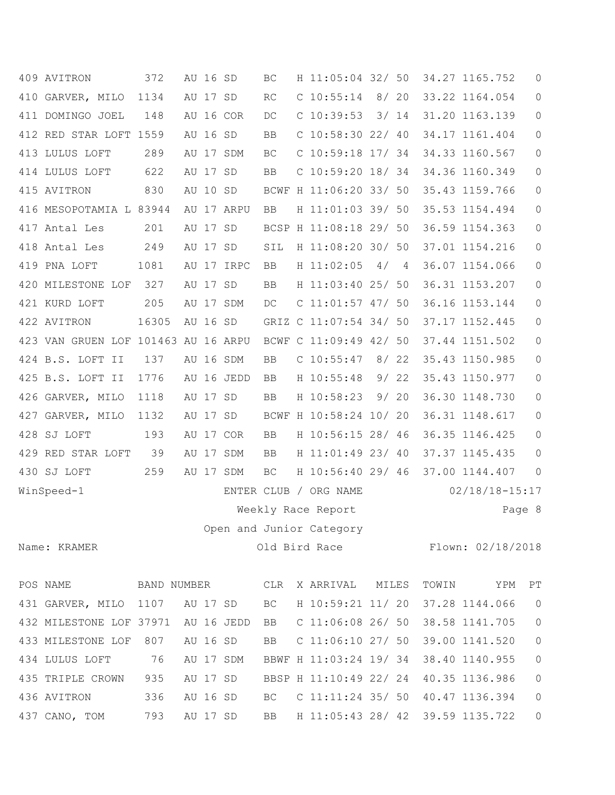| 409 AVITRON                         | 372   |          | AU 16 SD |            | BC                     | H 11:05:04 32/ 50                     |      |      |       | 34.27 1165.752                     | $\circ$        |
|-------------------------------------|-------|----------|----------|------------|------------------------|---------------------------------------|------|------|-------|------------------------------------|----------------|
| 410 GARVER, MILO 1134               |       |          | AU 17 SD |            | $\mathbb{R}\mathbb{C}$ | $C$ 10:55:14 8/20                     |      |      |       | 33.22 1164.054                     | 0              |
| 411 DOMINGO JOEL                    | 148   |          |          | AU 16 COR  | DC                     | $C$ 10:39:53 3/ 14                    |      |      |       | 31.20 1163.139                     | $\mathbb O$    |
| 412 RED STAR LOFT 1559              |       |          | AU 16 SD |            | <b>BB</b>              | $C$ 10:58:30 22/ 40                   |      |      |       | 34.17 1161.404                     | $\mathbb O$    |
| 413 LULUS LOFT                      | 289   |          |          | AU 17 SDM  | BC                     | $C$ 10:59:18 17/ 34                   |      |      |       | 34.33 1160.567                     | $\mathbb O$    |
| 414 LULUS LOFT                      | 622   |          | AU 17 SD |            | BB                     | $C$ 10:59:20 18/34                    |      |      |       | 34.36 1160.349                     | $\mathbb O$    |
| 415 AVITRON                         | 830   |          | AU 10 SD |            |                        | BCWF H 11:06:20 33/ 50                |      |      |       | 35.43 1159.766                     | $\mathbb O$    |
| 416 MESOPOTAMIA L 83944             |       |          |          | AU 17 ARPU | BB                     | H 11:01:03 39/ 50                     |      |      |       | 35.53 1154.494                     | $\mathbb O$    |
| 417 Antal Les                       | 201   |          | AU 17 SD |            |                        | BCSP H 11:08:18 29/ 50                |      |      |       | 36.59 1154.363                     | $\mathbb O$    |
| 418 Antal Les                       | 249   |          | AU 17 SD |            | SIL                    | H 11:08:20 30/ 50                     |      |      |       | 37.01 1154.216                     | $\mathbb O$    |
| 419 PNA LOFT                        | 1081  |          |          | AU 17 IRPC | BB                     | H 11:02:05                            |      | 4/4  |       | 36.07 1154.066                     | 0              |
| 420 MILESTONE LOF                   | 327   |          | AU 17 SD |            | BB                     | H 11:03:40 25/ 50                     |      |      |       | 36.31 1153.207                     | $\mathbb O$    |
| 421 KURD LOFT                       | 205   |          |          | AU 17 SDM  | DC                     | $C$ 11:01:57 47/ 50                   |      |      |       | 36.16 1153.144                     | $\mathsf{O}$   |
| 422 AVITRON                         | 16305 |          | AU 16 SD |            |                        | GRIZ C 11:07:54 34/ 50                |      |      |       | 37.17 1152.445                     | $\mathbb O$    |
| 423 VAN GRUEN LOF 101463 AU 16 ARPU |       |          |          |            |                        | BCWF C 11:09:49 42/ 50                |      |      |       | 37.44 1151.502                     | $\mathbb O$    |
| 424 B.S. LOFT II                    | 137   |          |          | AU 16 SDM  | BB                     | $C$ 10:55:47                          | 8/22 |      |       | 35.43 1150.985                     | $\circ$        |
| 425 B.S. LOFT II                    | 1776  |          |          | AU 16 JEDD | BB                     | H 10:55:48                            |      | 9/22 |       | 35.43 1150.977                     | $\circ$        |
| 426 GARVER, MILO                    | 1118  |          | AU 17 SD |            | BB                     | H 10:58:23                            |      | 9/20 |       | 36.30 1148.730                     | $\mathbb O$    |
| 427 GARVER, MILO                    | 1132  |          | AU 17 SD |            |                        | BCWF H 10:58:24 10/ 20                |      |      |       | 36.31 1148.617                     | $\mathbb O$    |
| 428 SJ LOFT                         | 193   |          |          | AU 17 COR  | BB                     | H 10:56:15 28/ 46                     |      |      |       | 36.35 1146.425                     | $\mathbb O$    |
| 429 RED STAR LOFT                   | 39    |          |          | AU 17 SDM  | BB                     | H 11:01:49 23/ 40                     |      |      |       | 37.37 1145.435                     | $\circ$        |
| 430 SJ LOFT                         | 259   |          |          | AU 17 SDM  | BC                     | H 10:56:40 29/ 46                     |      |      |       | 37.00 1144.407                     | $\overline{0}$ |
| WinSpeed-1                          |       |          |          |            |                        | ENTER CLUB / ORG NAME                 |      |      |       | $02/18/18 - 15:17$                 |                |
|                                     |       |          |          |            |                        | Weekly Race Report                    |      |      |       | Page 8                             |                |
|                                     |       |          |          |            |                        | Open and Junior Category              |      |      |       |                                    |                |
| Name: KRAMER                        |       |          |          |            |                        |                                       |      |      |       | Old Bird Race Flown: 02/18/2018    |                |
| POS NAME BAND NUMBER CLR            |       |          |          |            |                        | X ARRIVAL MILES                       |      |      | TOWIN | YPM                                | PT             |
| 431 GARVER, MILO 1107 AU 17 SD      |       |          |          |            |                        | BC H 10:59:21 11/20                   |      |      |       | 37.28 1144.066                     | $\overline{0}$ |
| 432 MILESTONE LOF 37971 AU 16 JEDD  |       |          |          |            |                        | BB C 11:06:08 26/ 50 38.58 1141.705   |      |      |       |                                    | $\mathbb O$    |
| 433 MILESTONE LOF 807               |       | AU 16 SD |          |            | <b>BB</b>              | C $11:06:10$ 27/ 50 39.00 1141.520    |      |      |       |                                    | $\mathbb O$    |
| 434 LULUS LOFT 76                   |       |          |          | AU 17 SDM  |                        | BBWF H 11:03:24 19/ 34 38.40 1140.955 |      |      |       |                                    | $\mathbb O$    |
| 435 TRIPLE CROWN 935                |       |          |          | AU 17 SD   |                        | BBSP H 11:10:49 22/ 24 40.35 1136.986 |      |      |       |                                    | $\mathbb O$    |
| 436 AVITRON                         | 336   |          |          | AU 16 SD   | BC                     |                                       |      |      |       | C $11:11:24$ 35/ 50 40.47 1136.394 | $\mathbb O$    |
| 437 CANO, TOM                       | 793   |          |          | AU 17 SD   |                        | BB H 11:05:43 28/ 42 39.59 1135.722   |      |      |       |                                    | $\mathbb O$    |
|                                     |       |          |          |            |                        |                                       |      |      |       |                                    |                |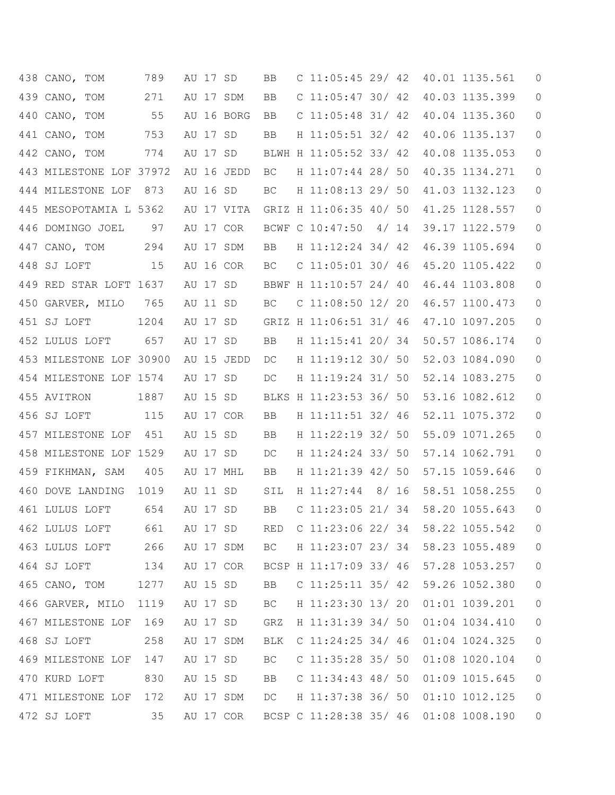| 438 CANO, TOM           | 789  |          | AU 17 SD |            | BB. | C $11:05:45$ 29/ 42                   |  | 40.01 1135.561   | $\theta$       |
|-------------------------|------|----------|----------|------------|-----|---------------------------------------|--|------------------|----------------|
| 439 CANO, TOM           | 271  |          |          | AU 17 SDM  | BB  | C $11:05:47$ 30/ 42                   |  | 40.03 1135.399   | $\overline{0}$ |
| 440 CANO, TOM           | 55   |          |          | AU 16 BORG | BB  | C $11:05:48$ 31/42                    |  | 40.04 1135.360   | 0              |
| 441 CANO, TOM           | 753  | AU 17 SD |          |            | BB  | H 11:05:51 32/ 42                     |  | 40.06 1135.137   | 0              |
| 442 CANO, TOM           | 774  |          | AU 17 SD |            |     | BLWH H 11:05:52 33/ 42                |  | 40.08 1135.053   | 0              |
| 443 MILESTONE LOF 37972 |      |          |          | AU 16 JEDD | BC. | H 11:07:44 28/ 50                     |  | 40.35 1134.271   | 0              |
| 444 MILESTONE LOF       | 873  | AU 16 SD |          |            | BC. | H 11:08:13 29/ 50                     |  | 41.03 1132.123   | 0              |
| 445 MESOPOTAMIA L 5362  |      |          |          | AU 17 VITA |     | GRIZ H 11:06:35 40/ 50                |  | 41.25 1128.557   | 0              |
| 446 DOMINGO JOEL        | 97   |          |          | AU 17 COR  |     | BCWF C 10:47:50 4/ 14                 |  | 39.17 1122.579   | 0              |
| 447 CANO, TOM           | 294  |          |          | AU 17 SDM  | BB  | H 11:12:24 34/ 42                     |  | 46.39 1105.694   | 0              |
| 448 SJ LOFT             | 15   |          |          | AU 16 COR  | ВC  | $C$ 11:05:01 30/ 46                   |  | 45.20 1105.422   | 0              |
| 449 RED STAR LOFT 1637  |      | AU 17 SD |          |            |     | BBWF H 11:10:57 24/ 40                |  | 46.44 1103.808   | 0              |
| 450 GARVER, MILO        | 765  | AU 11 SD |          |            | ВC  | $C$ 11:08:50 12/ 20                   |  | 46.57 1100.473   | 0              |
| 451 SJ LOFT             | 1204 |          | AU 17 SD |            |     | GRIZ H 11:06:51 31/ 46                |  | 47.10 1097.205   | 0              |
| 452 LULUS LOFT          | 657  | AU 17 SD |          |            | BB  | H 11:15:41 20/ 34                     |  | 50.57 1086.174   | 0              |
| 453 MILESTONE LOF 30900 |      |          |          | AU 15 JEDD | DC. | H 11:19:12 30/ 50                     |  | 52.03 1084.090   | 0              |
| 454 MILESTONE LOF 1574  |      | AU 17 SD |          |            | DC  | H 11:19:24 31/ 50                     |  | 52.14 1083.275   | 0              |
| 455 AVITRON             | 1887 | AU 15 SD |          |            |     | BLKS H 11:23:53 36/ 50                |  | 53.16 1082.612   | 0              |
| 456 SJ LOFT             | 115  |          |          | AU 17 COR  | BB  | H 11:11:51 32/ 46                     |  | 52.11 1075.372   | 0              |
| 457 MILESTONE LOF       | 451  | AU 15 SD |          |            | BB  | H 11:22:19 32/ 50                     |  | 55.09 1071.265   | 0              |
| 458 MILESTONE LOF 1529  |      | AU 17 SD |          |            | DC  | H 11:24:24 33/ 50                     |  | 57.14 1062.791   | 0              |
| 459 FIKHMAN, SAM        | 405  |          |          | AU 17 MHL  | BB  | H 11:21:39 42/ 50                     |  | 57.15 1059.646   | 0              |
| 460 DOVE LANDING        | 1019 | AU 11 SD |          |            | SIL | H 11:27:44 8/ 16                      |  | 58.51 1058.255   | 0              |
| 461 LULUS LOFT          | 654  | AU 17 SD |          |            | BB  | C $11:23:05$ 21/34                    |  | 58.20 1055.643   | 0              |
| 462 LULUS LOFT          | 661  |          |          | AU 17 SD   | RED | $C$ 11:23:06 22/ 34                   |  | 58.22 1055.542   | 0              |
| 463 LULUS LOFT          | 266  |          |          | AU 17 SDM  | BC  | H 11:23:07 23/ 34                     |  | 58.23 1055.489   | $\circ$        |
| 464 SJ LOFT             | 134  |          |          | AU 17 COR  |     | BCSP H 11:17:09 33/ 46 57.28 1053.257 |  |                  | 0              |
| 465 CANO, TOM           | 1277 | AU 15 SD |          |            | BB  | $C$ 11:25:11 35/ 42                   |  | 59.26 1052.380   | $\circ$        |
| 466 GARVER, MILO 1119   |      | AU 17 SD |          |            | BC  | H 11:23:30 13/ 20                     |  | 01:01 1039.201   | 0              |
| 467 MILESTONE LOF       | 169  | AU 17 SD |          |            | GRZ | H 11:31:39 34/ 50                     |  | $01:04$ 1034.410 | 0              |
| 468 SJ LOFT             | 258  |          |          | AU 17 SDM  | BLK | $C$ 11:24:25 34/ 46                   |  | 01:04 1024.325   | 0              |
| 469 MILESTONE LOF       | 147  | AU 17 SD |          |            | BC  | $C$ 11:35:28 35/ 50                   |  | 01:08 1020.104   | 0              |
| 470 KURD LOFT           | 830  |          |          | AU 15 SD   | BB  | C $11:34:43$ 48/ 50                   |  | 01:09 1015.645   | 0              |
| 471 MILESTONE LOF       | 172  |          |          | AU 17 SDM  | DC  | H 11:37:38 36/ 50                     |  | 01:10 1012.125   | 0              |
| 472 SJ LOFT             | 35   |          |          | AU 17 COR  |     | BCSP C 11:28:38 35/ 46 01:08 1008.190 |  |                  | 0              |